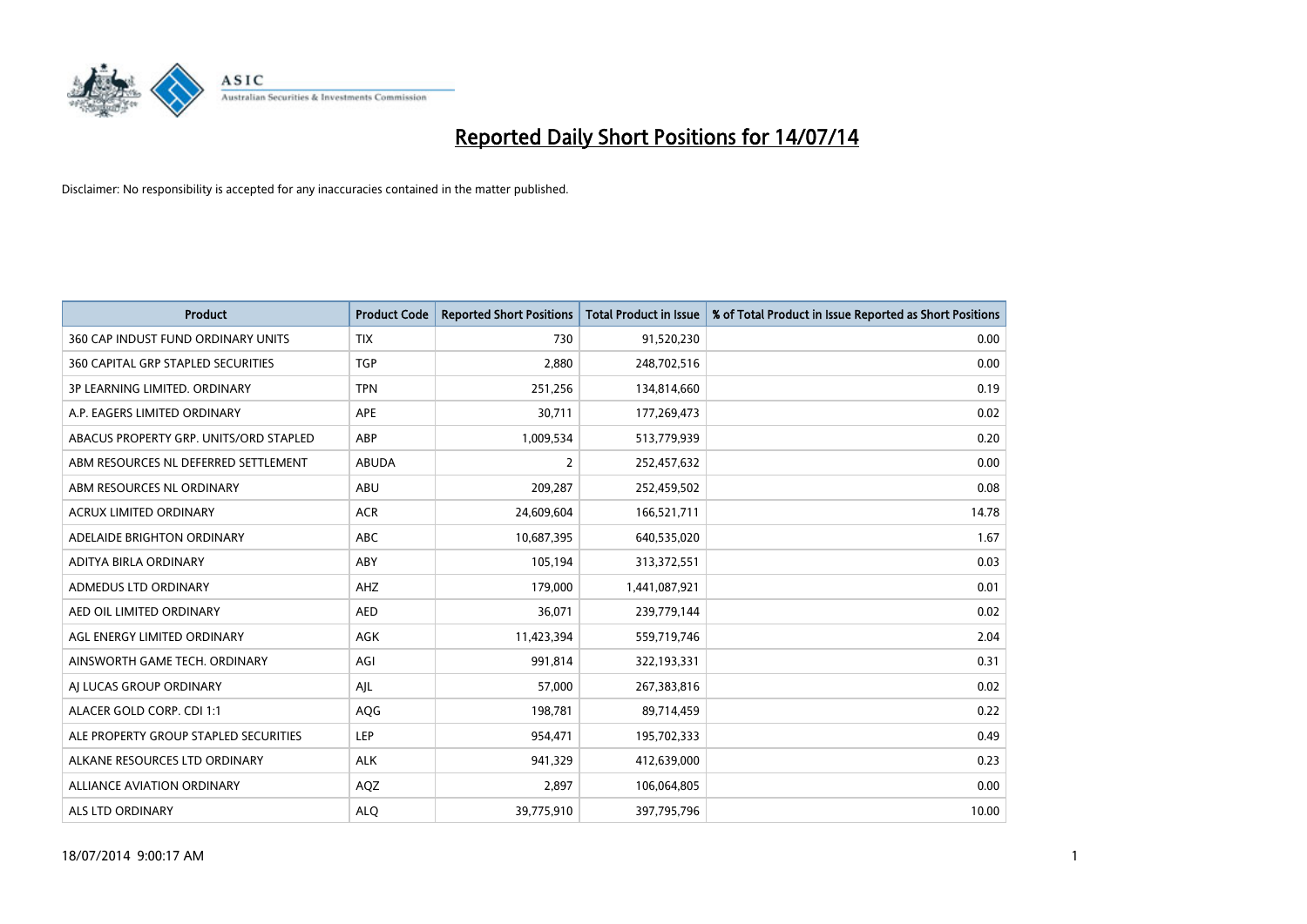

| <b>Product</b>                         | <b>Product Code</b> | <b>Reported Short Positions</b> | <b>Total Product in Issue</b> | % of Total Product in Issue Reported as Short Positions |
|----------------------------------------|---------------------|---------------------------------|-------------------------------|---------------------------------------------------------|
| 360 CAP INDUST FUND ORDINARY UNITS     | <b>TIX</b>          | 730                             | 91,520,230                    | 0.00                                                    |
| 360 CAPITAL GRP STAPLED SECURITIES     | <b>TGP</b>          | 2,880                           | 248,702,516                   | 0.00                                                    |
| 3P LEARNING LIMITED. ORDINARY          | <b>TPN</b>          | 251,256                         | 134,814,660                   | 0.19                                                    |
| A.P. EAGERS LIMITED ORDINARY           | APE                 | 30,711                          | 177,269,473                   | 0.02                                                    |
| ABACUS PROPERTY GRP. UNITS/ORD STAPLED | ABP                 | 1,009,534                       | 513,779,939                   | 0.20                                                    |
| ABM RESOURCES NL DEFERRED SETTLEMENT   | <b>ABUDA</b>        | $\overline{2}$                  | 252,457,632                   | 0.00                                                    |
| ABM RESOURCES NL ORDINARY              | ABU                 | 209,287                         | 252,459,502                   | 0.08                                                    |
| ACRUX LIMITED ORDINARY                 | <b>ACR</b>          | 24,609,604                      | 166,521,711                   | 14.78                                                   |
| ADELAIDE BRIGHTON ORDINARY             | <b>ABC</b>          | 10,687,395                      | 640,535,020                   | 1.67                                                    |
| ADITYA BIRLA ORDINARY                  | ABY                 | 105,194                         | 313,372,551                   | 0.03                                                    |
| ADMEDUS LTD ORDINARY                   | AHZ                 | 179,000                         | 1,441,087,921                 | 0.01                                                    |
| AED OIL LIMITED ORDINARY               | <b>AED</b>          | 36,071                          | 239,779,144                   | 0.02                                                    |
| AGL ENERGY LIMITED ORDINARY            | AGK                 | 11,423,394                      | 559,719,746                   | 2.04                                                    |
| AINSWORTH GAME TECH. ORDINARY          | AGI                 | 991,814                         | 322,193,331                   | 0.31                                                    |
| AI LUCAS GROUP ORDINARY                | AJL                 | 57,000                          | 267,383,816                   | 0.02                                                    |
| ALACER GOLD CORP. CDI 1:1              | AQG                 | 198,781                         | 89,714,459                    | 0.22                                                    |
| ALE PROPERTY GROUP STAPLED SECURITIES  | LEP                 | 954,471                         | 195,702,333                   | 0.49                                                    |
| ALKANE RESOURCES LTD ORDINARY          | <b>ALK</b>          | 941,329                         | 412,639,000                   | 0.23                                                    |
| <b>ALLIANCE AVIATION ORDINARY</b>      | AQZ                 | 2,897                           | 106,064,805                   | 0.00                                                    |
| ALS LTD ORDINARY                       | <b>ALO</b>          | 39,775,910                      | 397,795,796                   | 10.00                                                   |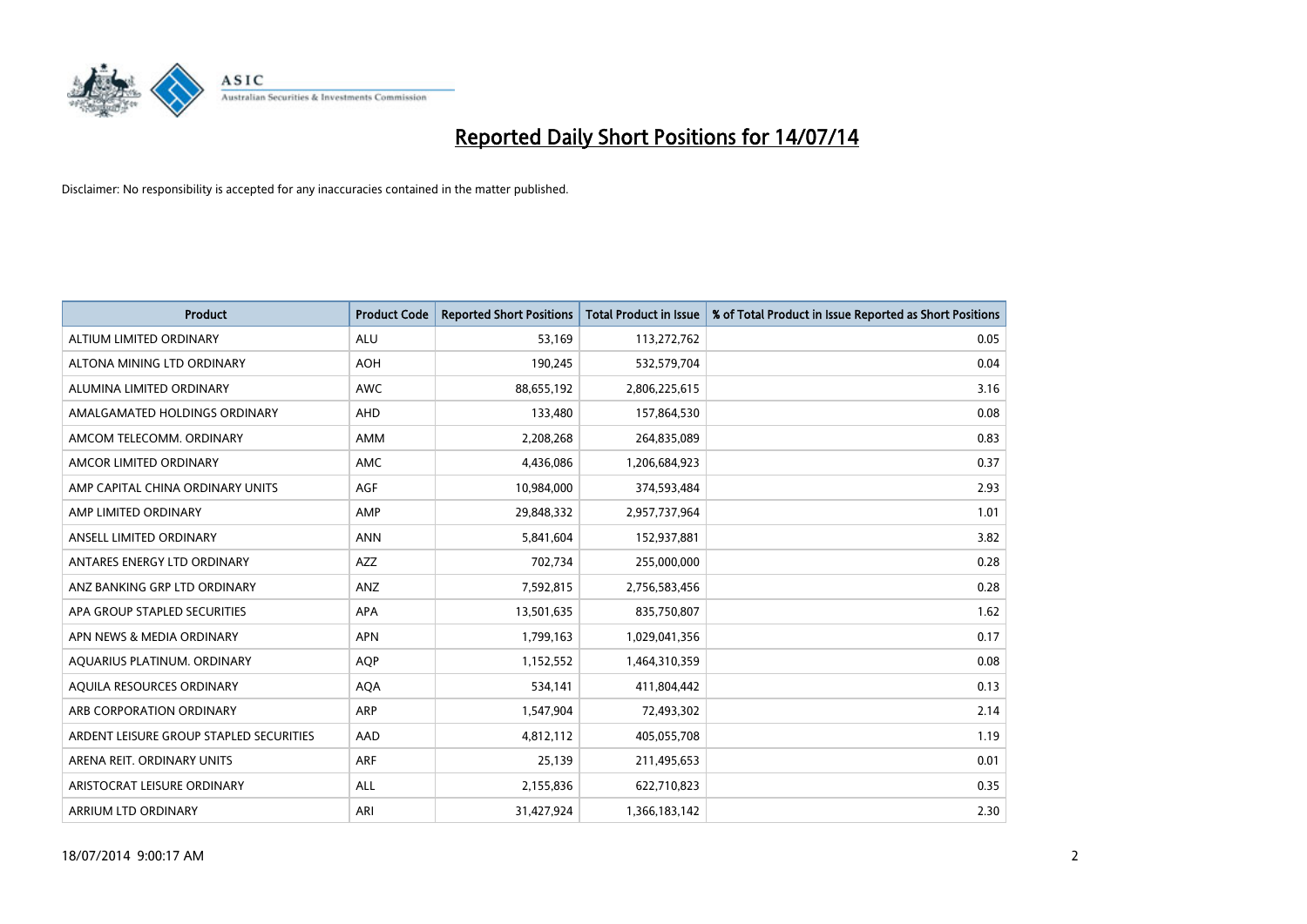

| <b>Product</b>                          | <b>Product Code</b> | <b>Reported Short Positions</b> | <b>Total Product in Issue</b> | % of Total Product in Issue Reported as Short Positions |
|-----------------------------------------|---------------------|---------------------------------|-------------------------------|---------------------------------------------------------|
| ALTIUM LIMITED ORDINARY                 | <b>ALU</b>          | 53,169                          | 113,272,762                   | 0.05                                                    |
| ALTONA MINING LTD ORDINARY              | <b>AOH</b>          | 190,245                         | 532,579,704                   | 0.04                                                    |
| ALUMINA LIMITED ORDINARY                | <b>AWC</b>          | 88,655,192                      | 2,806,225,615                 | 3.16                                                    |
| AMALGAMATED HOLDINGS ORDINARY           | AHD                 | 133,480                         | 157,864,530                   | 0.08                                                    |
| AMCOM TELECOMM, ORDINARY                | AMM                 | 2,208,268                       | 264,835,089                   | 0.83                                                    |
| AMCOR LIMITED ORDINARY                  | AMC                 | 4,436,086                       | 1,206,684,923                 | 0.37                                                    |
| AMP CAPITAL CHINA ORDINARY UNITS        | AGF                 | 10,984,000                      | 374,593,484                   | 2.93                                                    |
| AMP LIMITED ORDINARY                    | AMP                 | 29,848,332                      | 2,957,737,964                 | 1.01                                                    |
| ANSELL LIMITED ORDINARY                 | <b>ANN</b>          | 5,841,604                       | 152,937,881                   | 3.82                                                    |
| ANTARES ENERGY LTD ORDINARY             | AZZ                 | 702,734                         | 255,000,000                   | 0.28                                                    |
| ANZ BANKING GRP LTD ORDINARY            | ANZ                 | 7,592,815                       | 2,756,583,456                 | 0.28                                                    |
| APA GROUP STAPLED SECURITIES            | APA                 | 13,501,635                      | 835,750,807                   | 1.62                                                    |
| APN NEWS & MEDIA ORDINARY               | <b>APN</b>          | 1,799,163                       | 1,029,041,356                 | 0.17                                                    |
| AQUARIUS PLATINUM. ORDINARY             | <b>AOP</b>          | 1,152,552                       | 1,464,310,359                 | 0.08                                                    |
| AQUILA RESOURCES ORDINARY               | <b>AQA</b>          | 534,141                         | 411,804,442                   | 0.13                                                    |
| ARB CORPORATION ORDINARY                | <b>ARP</b>          | 1,547,904                       | 72,493,302                    | 2.14                                                    |
| ARDENT LEISURE GROUP STAPLED SECURITIES | AAD                 | 4,812,112                       | 405,055,708                   | 1.19                                                    |
| ARENA REIT. ORDINARY UNITS              | <b>ARF</b>          | 25,139                          | 211,495,653                   | 0.01                                                    |
| ARISTOCRAT LEISURE ORDINARY             | ALL                 | 2,155,836                       | 622,710,823                   | 0.35                                                    |
| ARRIUM LTD ORDINARY                     | ARI                 | 31,427,924                      | 1,366,183,142                 | 2.30                                                    |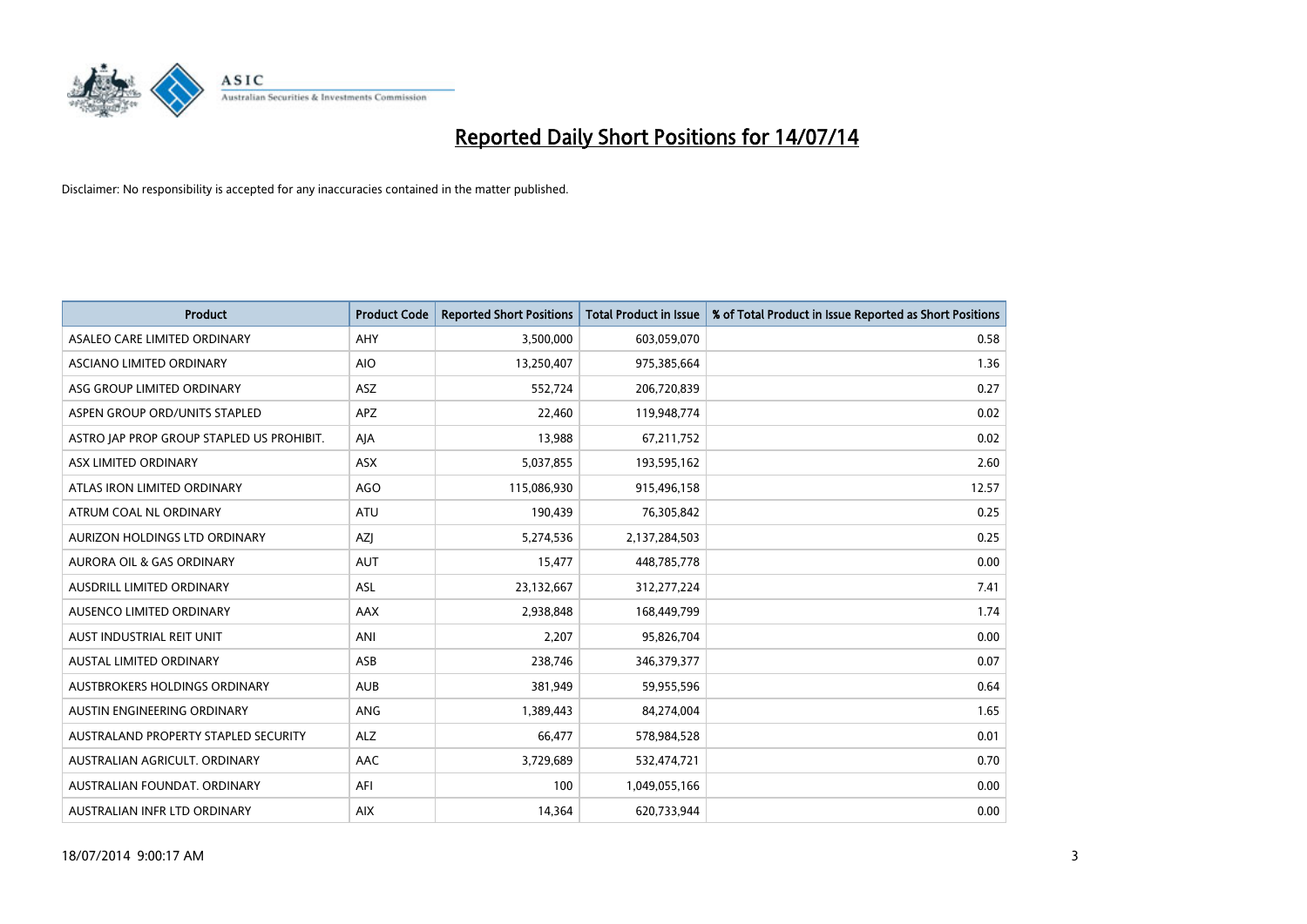

| <b>Product</b>                            | <b>Product Code</b> | <b>Reported Short Positions</b> | <b>Total Product in Issue</b> | % of Total Product in Issue Reported as Short Positions |
|-------------------------------------------|---------------------|---------------------------------|-------------------------------|---------------------------------------------------------|
| ASALEO CARE LIMITED ORDINARY              | AHY                 | 3,500,000                       | 603,059,070                   | 0.58                                                    |
| ASCIANO LIMITED ORDINARY                  | <b>AIO</b>          | 13,250,407                      | 975,385,664                   | 1.36                                                    |
| ASG GROUP LIMITED ORDINARY                | ASZ                 | 552,724                         | 206,720,839                   | 0.27                                                    |
| ASPEN GROUP ORD/UNITS STAPLED             | <b>APZ</b>          | 22,460                          | 119,948,774                   | 0.02                                                    |
| ASTRO JAP PROP GROUP STAPLED US PROHIBIT. | AJA                 | 13,988                          | 67,211,752                    | 0.02                                                    |
| ASX LIMITED ORDINARY                      | ASX                 | 5,037,855                       | 193,595,162                   | 2.60                                                    |
| ATLAS IRON LIMITED ORDINARY               | <b>AGO</b>          | 115,086,930                     | 915,496,158                   | 12.57                                                   |
| ATRUM COAL NL ORDINARY                    | ATU                 | 190,439                         | 76,305,842                    | 0.25                                                    |
| AURIZON HOLDINGS LTD ORDINARY             | AZJ                 | 5,274,536                       | 2,137,284,503                 | 0.25                                                    |
| <b>AURORA OIL &amp; GAS ORDINARY</b>      | <b>AUT</b>          | 15,477                          | 448,785,778                   | 0.00                                                    |
| AUSDRILL LIMITED ORDINARY                 | ASL                 | 23,132,667                      | 312,277,224                   | 7.41                                                    |
| AUSENCO LIMITED ORDINARY                  | AAX                 | 2,938,848                       | 168,449,799                   | 1.74                                                    |
| AUST INDUSTRIAL REIT UNIT                 | ANI                 | 2,207                           | 95,826,704                    | 0.00                                                    |
| <b>AUSTAL LIMITED ORDINARY</b>            | ASB                 | 238,746                         | 346,379,377                   | 0.07                                                    |
| AUSTBROKERS HOLDINGS ORDINARY             | <b>AUB</b>          | 381,949                         | 59,955,596                    | 0.64                                                    |
| AUSTIN ENGINEERING ORDINARY               | ANG                 | 1,389,443                       | 84,274,004                    | 1.65                                                    |
| AUSTRALAND PROPERTY STAPLED SECURITY      | <b>ALZ</b>          | 66,477                          | 578,984,528                   | 0.01                                                    |
| AUSTRALIAN AGRICULT. ORDINARY             | AAC                 | 3,729,689                       | 532,474,721                   | 0.70                                                    |
| AUSTRALIAN FOUNDAT, ORDINARY              | AFI                 | 100                             | 1,049,055,166                 | 0.00                                                    |
| AUSTRALIAN INFR LTD ORDINARY              | <b>AIX</b>          | 14,364                          | 620,733,944                   | 0.00                                                    |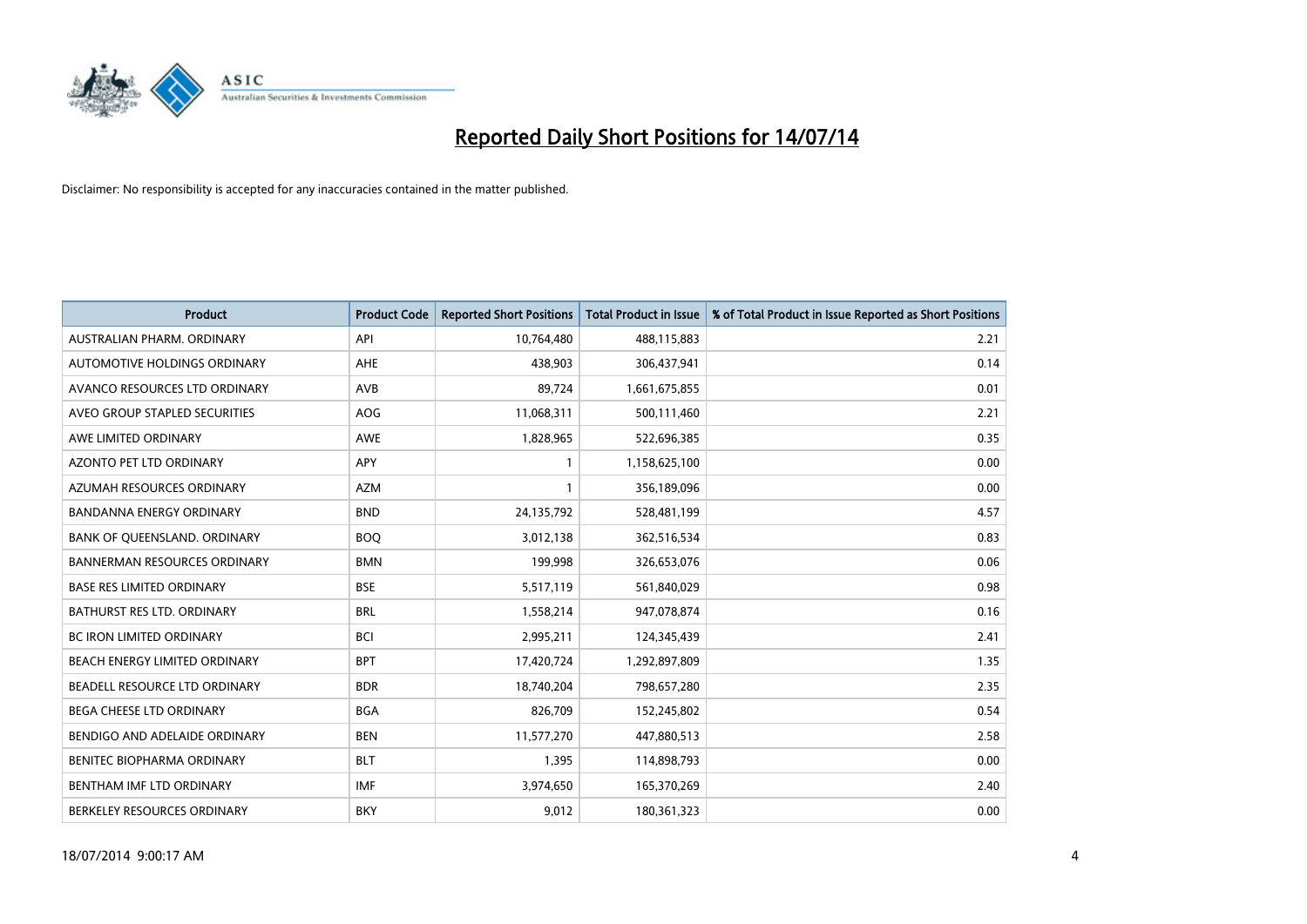

| <b>Product</b>                      | <b>Product Code</b> | <b>Reported Short Positions</b> | <b>Total Product in Issue</b> | % of Total Product in Issue Reported as Short Positions |
|-------------------------------------|---------------------|---------------------------------|-------------------------------|---------------------------------------------------------|
| AUSTRALIAN PHARM, ORDINARY          | API                 | 10,764,480                      | 488,115,883                   | 2.21                                                    |
| AUTOMOTIVE HOLDINGS ORDINARY        | AHE                 | 438,903                         | 306,437,941                   | 0.14                                                    |
| AVANCO RESOURCES LTD ORDINARY       | AVB                 | 89,724                          | 1,661,675,855                 | 0.01                                                    |
| AVEO GROUP STAPLED SECURITIES       | AOG                 | 11,068,311                      | 500,111,460                   | 2.21                                                    |
| AWE LIMITED ORDINARY                | <b>AWE</b>          | 1,828,965                       | 522,696,385                   | 0.35                                                    |
| <b>AZONTO PET LTD ORDINARY</b>      | APY                 | 1                               | 1,158,625,100                 | 0.00                                                    |
| AZUMAH RESOURCES ORDINARY           | <b>AZM</b>          | $\mathbf{1}$                    | 356,189,096                   | 0.00                                                    |
| BANDANNA ENERGY ORDINARY            | <b>BND</b>          | 24,135,792                      | 528,481,199                   | 4.57                                                    |
| BANK OF QUEENSLAND. ORDINARY        | <b>BOQ</b>          | 3,012,138                       | 362,516,534                   | 0.83                                                    |
| <b>BANNERMAN RESOURCES ORDINARY</b> | <b>BMN</b>          | 199,998                         | 326,653,076                   | 0.06                                                    |
| <b>BASE RES LIMITED ORDINARY</b>    | <b>BSE</b>          | 5,517,119                       | 561,840,029                   | 0.98                                                    |
| BATHURST RES LTD. ORDINARY          | <b>BRL</b>          | 1,558,214                       | 947,078,874                   | 0.16                                                    |
| <b>BC IRON LIMITED ORDINARY</b>     | <b>BCI</b>          | 2,995,211                       | 124,345,439                   | 2.41                                                    |
| BEACH ENERGY LIMITED ORDINARY       | <b>BPT</b>          | 17,420,724                      | 1,292,897,809                 | 1.35                                                    |
| BEADELL RESOURCE LTD ORDINARY       | <b>BDR</b>          | 18,740,204                      | 798,657,280                   | 2.35                                                    |
| BEGA CHEESE LTD ORDINARY            | <b>BGA</b>          | 826,709                         | 152,245,802                   | 0.54                                                    |
| BENDIGO AND ADELAIDE ORDINARY       | <b>BEN</b>          | 11,577,270                      | 447,880,513                   | 2.58                                                    |
| BENITEC BIOPHARMA ORDINARY          | <b>BLT</b>          | 1,395                           | 114,898,793                   | 0.00                                                    |
| BENTHAM IMF LTD ORDINARY            | <b>IMF</b>          | 3,974,650                       | 165,370,269                   | 2.40                                                    |
| BERKELEY RESOURCES ORDINARY         | <b>BKY</b>          | 9,012                           | 180,361,323                   | 0.00                                                    |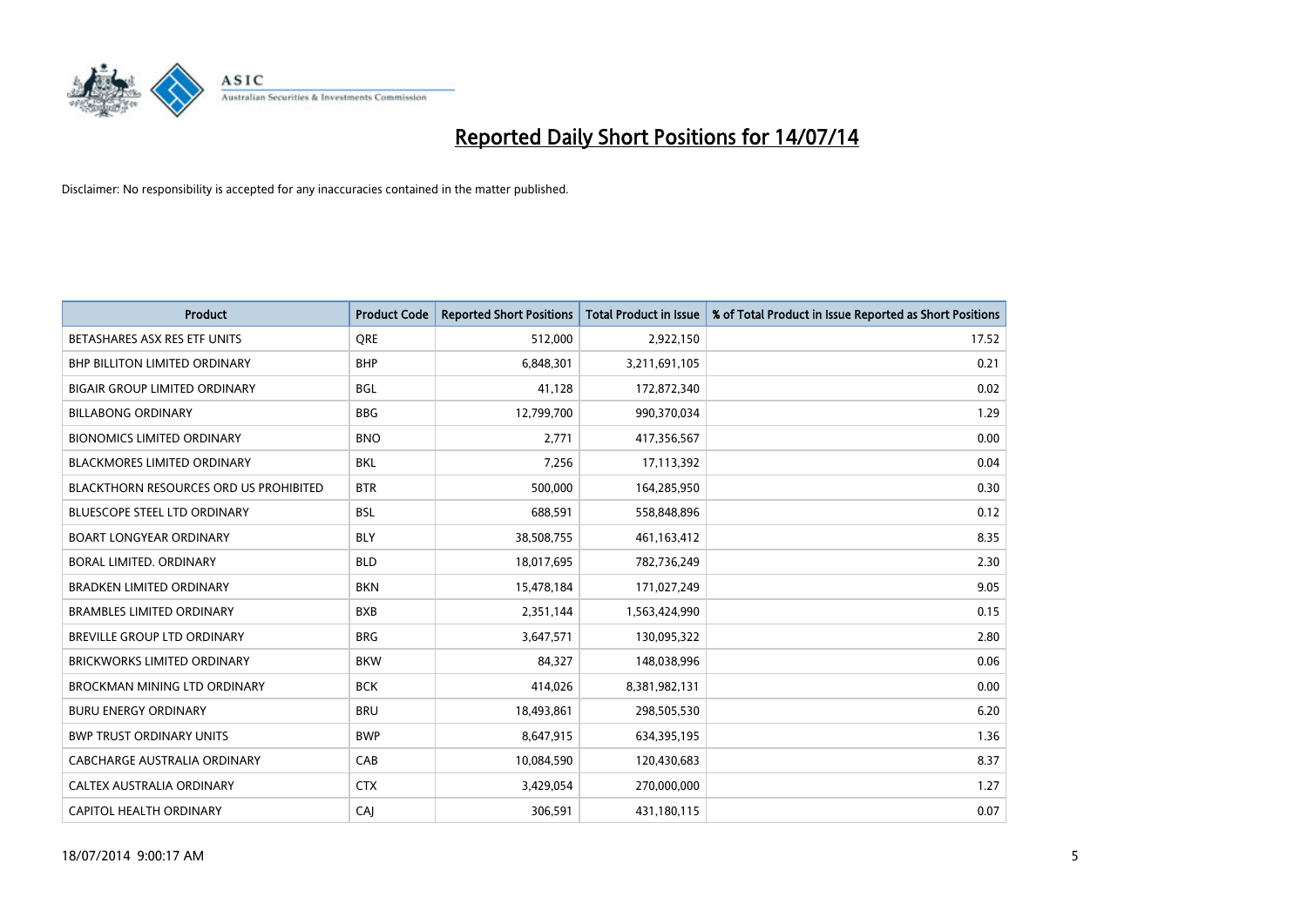

| <b>Product</b>                                | <b>Product Code</b> | <b>Reported Short Positions</b> | <b>Total Product in Issue</b> | % of Total Product in Issue Reported as Short Positions |
|-----------------------------------------------|---------------------|---------------------------------|-------------------------------|---------------------------------------------------------|
| BETASHARES ASX RES ETF UNITS                  | <b>ORE</b>          | 512,000                         | 2,922,150                     | 17.52                                                   |
| BHP BILLITON LIMITED ORDINARY                 | <b>BHP</b>          | 6,848,301                       | 3,211,691,105                 | 0.21                                                    |
| <b>BIGAIR GROUP LIMITED ORDINARY</b>          | <b>BGL</b>          | 41,128                          | 172,872,340                   | 0.02                                                    |
| <b>BILLABONG ORDINARY</b>                     | <b>BBG</b>          | 12,799,700                      | 990,370,034                   | 1.29                                                    |
| <b>BIONOMICS LIMITED ORDINARY</b>             | <b>BNO</b>          | 2,771                           | 417,356,567                   | 0.00                                                    |
| <b>BLACKMORES LIMITED ORDINARY</b>            | <b>BKL</b>          | 7,256                           | 17,113,392                    | 0.04                                                    |
| <b>BLACKTHORN RESOURCES ORD US PROHIBITED</b> | <b>BTR</b>          | 500,000                         | 164,285,950                   | 0.30                                                    |
| <b>BLUESCOPE STEEL LTD ORDINARY</b>           | <b>BSL</b>          | 688,591                         | 558,848,896                   | 0.12                                                    |
| <b>BOART LONGYEAR ORDINARY</b>                | <b>BLY</b>          | 38,508,755                      | 461,163,412                   | 8.35                                                    |
| <b>BORAL LIMITED, ORDINARY</b>                | <b>BLD</b>          | 18,017,695                      | 782,736,249                   | 2.30                                                    |
| <b>BRADKEN LIMITED ORDINARY</b>               | <b>BKN</b>          | 15,478,184                      | 171,027,249                   | 9.05                                                    |
| <b>BRAMBLES LIMITED ORDINARY</b>              | <b>BXB</b>          | 2,351,144                       | 1,563,424,990                 | 0.15                                                    |
| BREVILLE GROUP LTD ORDINARY                   | <b>BRG</b>          | 3,647,571                       | 130,095,322                   | 2.80                                                    |
| <b>BRICKWORKS LIMITED ORDINARY</b>            | <b>BKW</b>          | 84,327                          | 148,038,996                   | 0.06                                                    |
| <b>BROCKMAN MINING LTD ORDINARY</b>           | <b>BCK</b>          | 414,026                         | 8,381,982,131                 | 0.00                                                    |
| <b>BURU ENERGY ORDINARY</b>                   | <b>BRU</b>          | 18,493,861                      | 298,505,530                   | 6.20                                                    |
| <b>BWP TRUST ORDINARY UNITS</b>               | <b>BWP</b>          | 8,647,915                       | 634,395,195                   | 1.36                                                    |
| CABCHARGE AUSTRALIA ORDINARY                  | CAB                 | 10,084,590                      | 120,430,683                   | 8.37                                                    |
| CALTEX AUSTRALIA ORDINARY                     | <b>CTX</b>          | 3,429,054                       | 270,000,000                   | 1.27                                                    |
| CAPITOL HEALTH ORDINARY                       | CAJ                 | 306,591                         | 431,180,115                   | 0.07                                                    |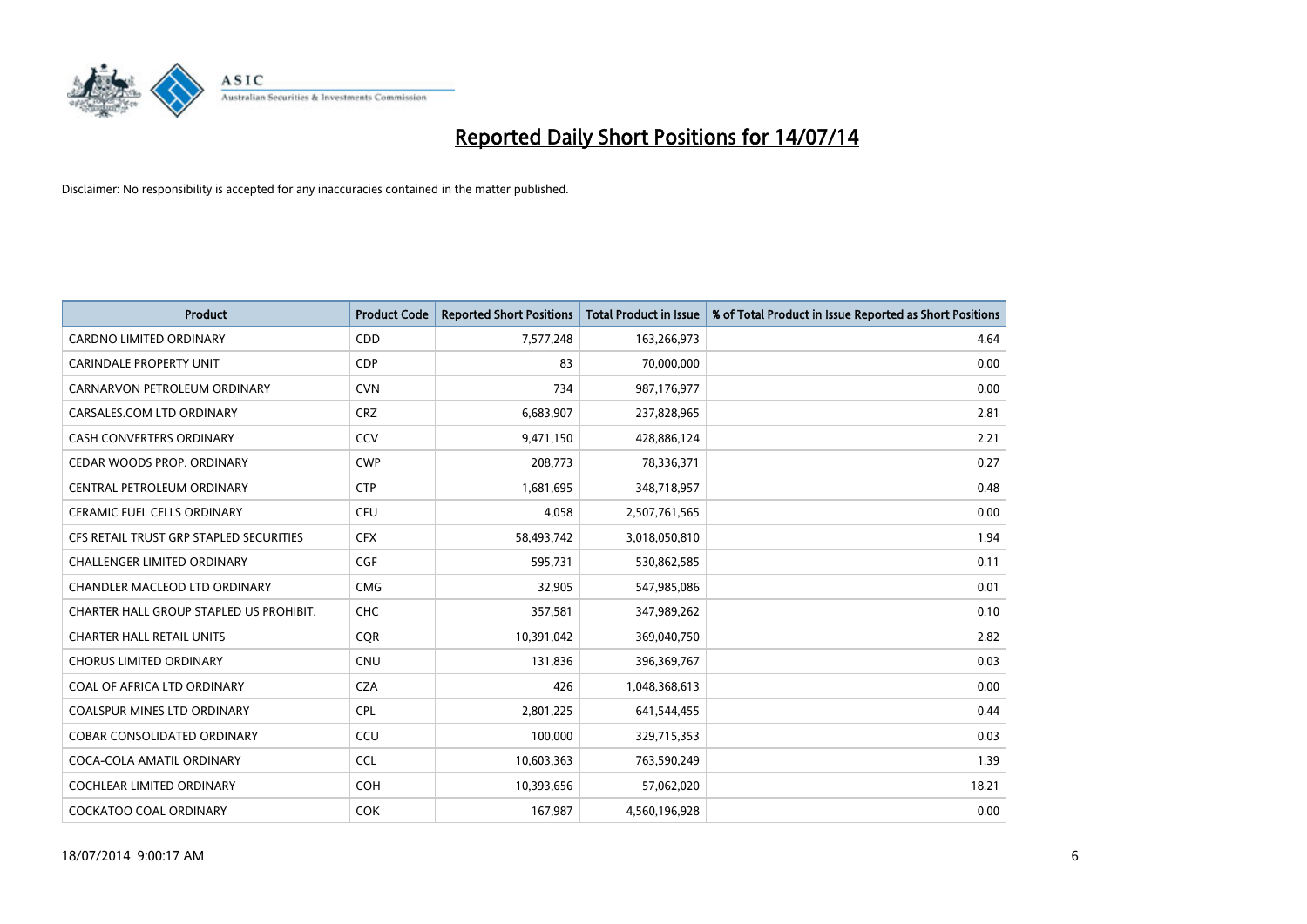

| <b>Product</b>                          | <b>Product Code</b> | <b>Reported Short Positions</b> | <b>Total Product in Issue</b> | % of Total Product in Issue Reported as Short Positions |
|-----------------------------------------|---------------------|---------------------------------|-------------------------------|---------------------------------------------------------|
| <b>CARDNO LIMITED ORDINARY</b>          | CDD                 | 7,577,248                       | 163,266,973                   | 4.64                                                    |
| <b>CARINDALE PROPERTY UNIT</b>          | <b>CDP</b>          | 83                              | 70,000,000                    | 0.00                                                    |
| CARNARVON PETROLEUM ORDINARY            | <b>CVN</b>          | 734                             | 987,176,977                   | 0.00                                                    |
| CARSALES.COM LTD ORDINARY               | <b>CRZ</b>          | 6,683,907                       | 237,828,965                   | 2.81                                                    |
| <b>CASH CONVERTERS ORDINARY</b>         | CCV                 | 9,471,150                       | 428,886,124                   | 2.21                                                    |
| CEDAR WOODS PROP. ORDINARY              | <b>CWP</b>          | 208,773                         | 78,336,371                    | 0.27                                                    |
| CENTRAL PETROLEUM ORDINARY              | <b>CTP</b>          | 1,681,695                       | 348,718,957                   | 0.48                                                    |
| CERAMIC FUEL CELLS ORDINARY             | <b>CFU</b>          | 4,058                           | 2,507,761,565                 | 0.00                                                    |
| CFS RETAIL TRUST GRP STAPLED SECURITIES | <b>CFX</b>          | 58,493,742                      | 3,018,050,810                 | 1.94                                                    |
| <b>CHALLENGER LIMITED ORDINARY</b>      | <b>CGF</b>          | 595,731                         | 530,862,585                   | 0.11                                                    |
| CHANDLER MACLEOD LTD ORDINARY           | <b>CMG</b>          | 32,905                          | 547,985,086                   | 0.01                                                    |
| CHARTER HALL GROUP STAPLED US PROHIBIT. | <b>CHC</b>          | 357,581                         | 347,989,262                   | 0.10                                                    |
| <b>CHARTER HALL RETAIL UNITS</b>        | <b>COR</b>          | 10,391,042                      | 369,040,750                   | 2.82                                                    |
| <b>CHORUS LIMITED ORDINARY</b>          | <b>CNU</b>          | 131,836                         | 396,369,767                   | 0.03                                                    |
| COAL OF AFRICA LTD ORDINARY             | <b>CZA</b>          | 426                             | 1,048,368,613                 | 0.00                                                    |
| COALSPUR MINES LTD ORDINARY             | <b>CPL</b>          | 2,801,225                       | 641,544,455                   | 0.44                                                    |
| COBAR CONSOLIDATED ORDINARY             | CCU                 | 100,000                         | 329,715,353                   | 0.03                                                    |
| COCA-COLA AMATIL ORDINARY               | <b>CCL</b>          | 10,603,363                      | 763,590,249                   | 1.39                                                    |
| <b>COCHLEAR LIMITED ORDINARY</b>        | <b>COH</b>          | 10,393,656                      | 57,062,020                    | 18.21                                                   |
| COCKATOO COAL ORDINARY                  | <b>COK</b>          | 167,987                         | 4,560,196,928                 | 0.00                                                    |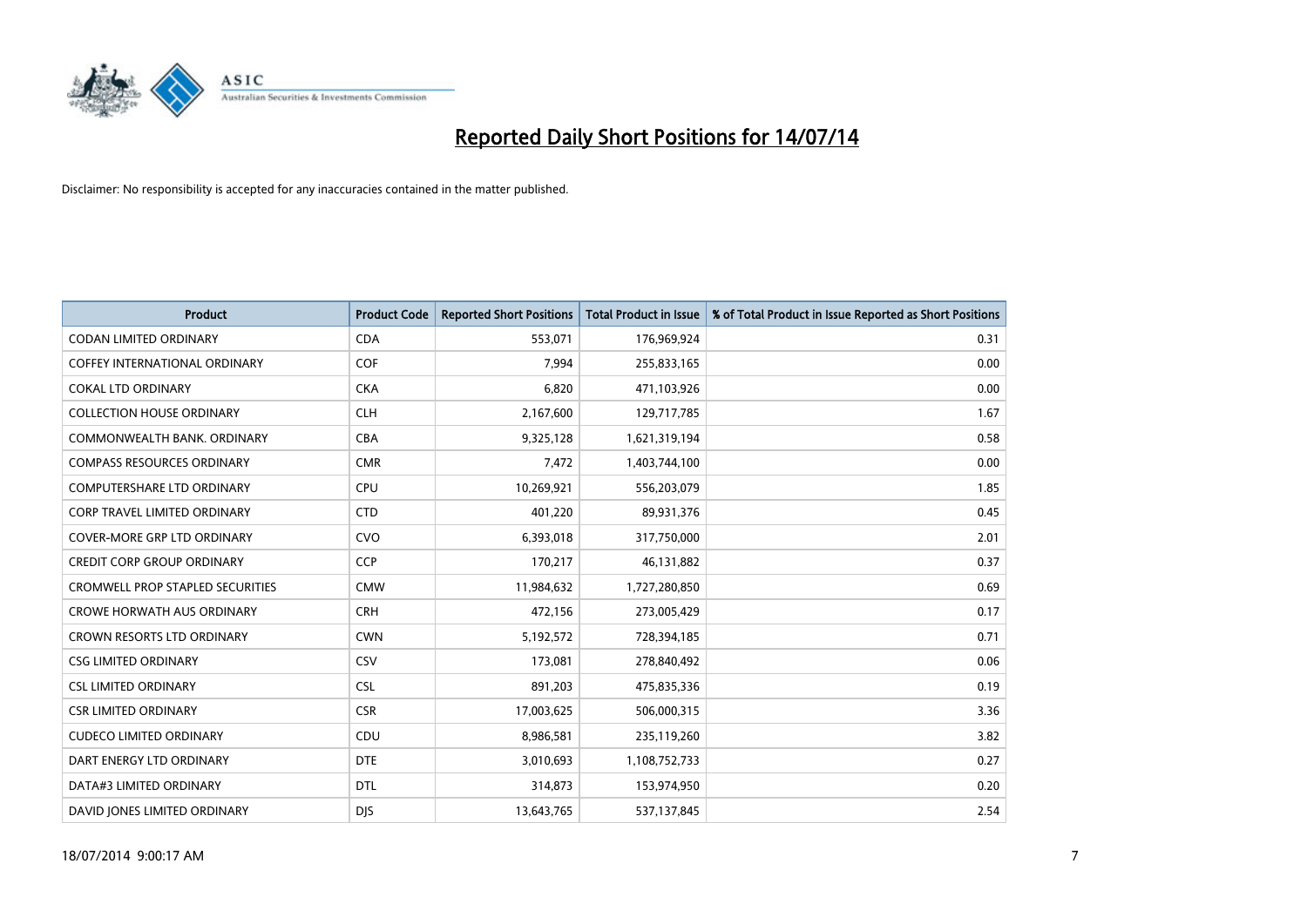

| Product                             | <b>Product Code</b> | <b>Reported Short Positions</b> | <b>Total Product in Issue</b> | % of Total Product in Issue Reported as Short Positions |
|-------------------------------------|---------------------|---------------------------------|-------------------------------|---------------------------------------------------------|
| <b>CODAN LIMITED ORDINARY</b>       | <b>CDA</b>          | 553,071                         | 176,969,924                   | 0.31                                                    |
| COFFEY INTERNATIONAL ORDINARY       | <b>COF</b>          | 7,994                           | 255,833,165                   | 0.00                                                    |
| <b>COKAL LTD ORDINARY</b>           | <b>CKA</b>          | 6,820                           | 471,103,926                   | 0.00                                                    |
| <b>COLLECTION HOUSE ORDINARY</b>    | <b>CLH</b>          | 2,167,600                       | 129,717,785                   | 1.67                                                    |
| COMMONWEALTH BANK, ORDINARY         | <b>CBA</b>          | 9,325,128                       | 1,621,319,194                 | 0.58                                                    |
| <b>COMPASS RESOURCES ORDINARY</b>   | <b>CMR</b>          | 7,472                           | 1,403,744,100                 | 0.00                                                    |
| <b>COMPUTERSHARE LTD ORDINARY</b>   | <b>CPU</b>          | 10,269,921                      | 556,203,079                   | 1.85                                                    |
| <b>CORP TRAVEL LIMITED ORDINARY</b> | <b>CTD</b>          | 401,220                         | 89,931,376                    | 0.45                                                    |
| <b>COVER-MORE GRP LTD ORDINARY</b>  | <b>CVO</b>          | 6,393,018                       | 317,750,000                   | 2.01                                                    |
| <b>CREDIT CORP GROUP ORDINARY</b>   | <b>CCP</b>          | 170,217                         | 46,131,882                    | 0.37                                                    |
| CROMWELL PROP STAPLED SECURITIES    | <b>CMW</b>          | 11,984,632                      | 1,727,280,850                 | 0.69                                                    |
| <b>CROWE HORWATH AUS ORDINARY</b>   | <b>CRH</b>          | 472,156                         | 273,005,429                   | 0.17                                                    |
| CROWN RESORTS LTD ORDINARY          | <b>CWN</b>          | 5,192,572                       | 728,394,185                   | 0.71                                                    |
| <b>CSG LIMITED ORDINARY</b>         | CSV                 | 173,081                         | 278,840,492                   | 0.06                                                    |
| <b>CSL LIMITED ORDINARY</b>         | <b>CSL</b>          | 891,203                         | 475,835,336                   | 0.19                                                    |
| <b>CSR LIMITED ORDINARY</b>         | <b>CSR</b>          | 17,003,625                      | 506,000,315                   | 3.36                                                    |
| <b>CUDECO LIMITED ORDINARY</b>      | CDU                 | 8,986,581                       | 235,119,260                   | 3.82                                                    |
| DART ENERGY LTD ORDINARY            | <b>DTE</b>          | 3,010,693                       | 1,108,752,733                 | 0.27                                                    |
| DATA#3 LIMITED ORDINARY             | <b>DTL</b>          | 314,873                         | 153,974,950                   | 0.20                                                    |
| DAVID JONES LIMITED ORDINARY        | <b>DJS</b>          | 13,643,765                      | 537,137,845                   | 2.54                                                    |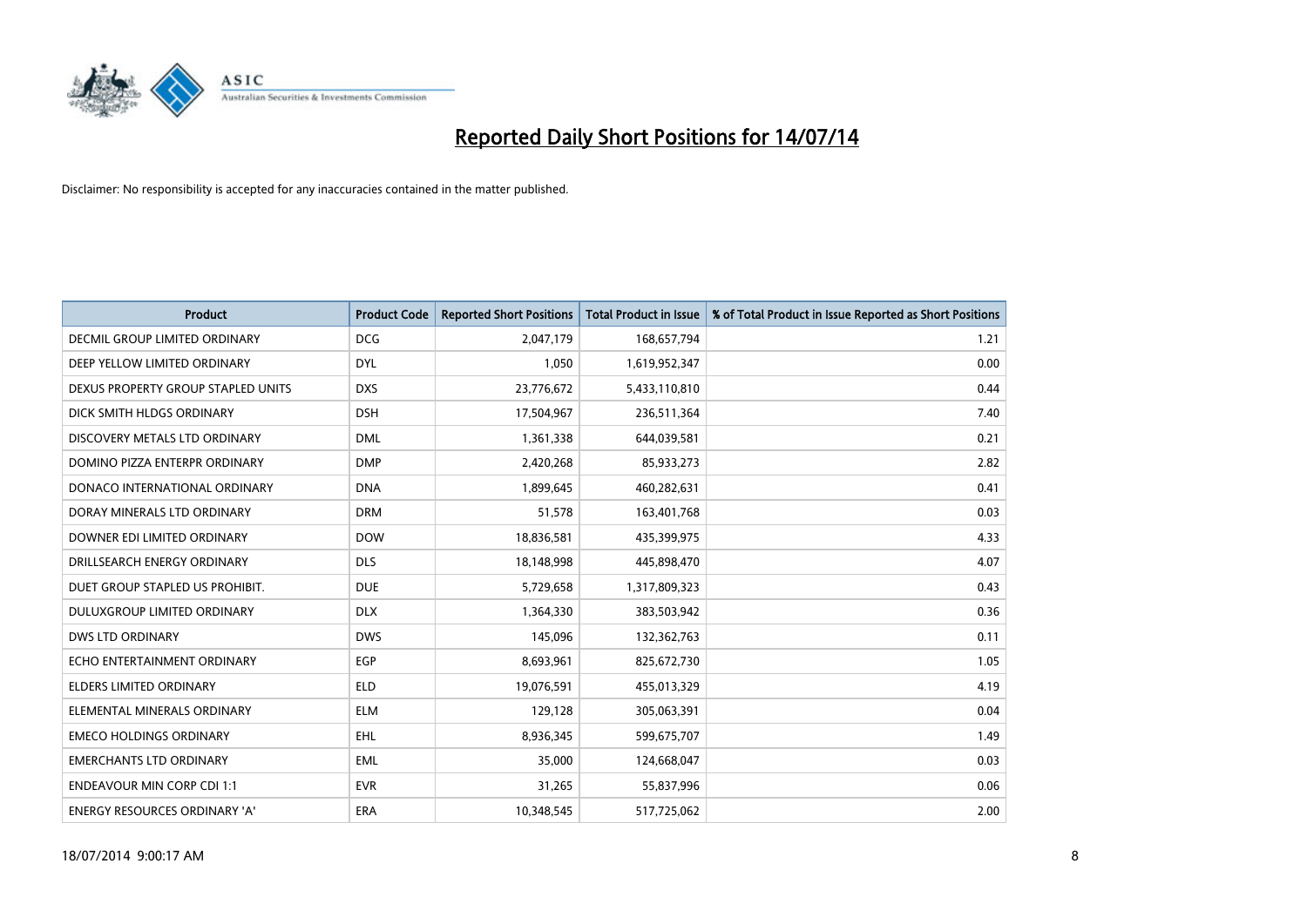

| <b>Product</b>                       | <b>Product Code</b> | <b>Reported Short Positions</b> | <b>Total Product in Issue</b> | % of Total Product in Issue Reported as Short Positions |
|--------------------------------------|---------------------|---------------------------------|-------------------------------|---------------------------------------------------------|
| <b>DECMIL GROUP LIMITED ORDINARY</b> | <b>DCG</b>          | 2,047,179                       | 168,657,794                   | 1.21                                                    |
| DEEP YELLOW LIMITED ORDINARY         | <b>DYL</b>          | 1,050                           | 1,619,952,347                 | 0.00                                                    |
| DEXUS PROPERTY GROUP STAPLED UNITS   | <b>DXS</b>          | 23,776,672                      | 5,433,110,810                 | 0.44                                                    |
| DICK SMITH HLDGS ORDINARY            | <b>DSH</b>          | 17,504,967                      | 236,511,364                   | 7.40                                                    |
| DISCOVERY METALS LTD ORDINARY        | <b>DML</b>          | 1,361,338                       | 644,039,581                   | 0.21                                                    |
| DOMINO PIZZA ENTERPR ORDINARY        | <b>DMP</b>          | 2,420,268                       | 85,933,273                    | 2.82                                                    |
| DONACO INTERNATIONAL ORDINARY        | <b>DNA</b>          | 1,899,645                       | 460,282,631                   | 0.41                                                    |
| DORAY MINERALS LTD ORDINARY          | <b>DRM</b>          | 51,578                          | 163,401,768                   | 0.03                                                    |
| DOWNER EDI LIMITED ORDINARY          | <b>DOW</b>          | 18,836,581                      | 435,399,975                   | 4.33                                                    |
| DRILLSEARCH ENERGY ORDINARY          | <b>DLS</b>          | 18,148,998                      | 445,898,470                   | 4.07                                                    |
| DUET GROUP STAPLED US PROHIBIT.      | <b>DUE</b>          | 5,729,658                       | 1,317,809,323                 | 0.43                                                    |
| <b>DULUXGROUP LIMITED ORDINARY</b>   | <b>DLX</b>          | 1,364,330                       | 383,503,942                   | 0.36                                                    |
| <b>DWS LTD ORDINARY</b>              | <b>DWS</b>          | 145,096                         | 132,362,763                   | 0.11                                                    |
| ECHO ENTERTAINMENT ORDINARY          | EGP                 | 8,693,961                       | 825,672,730                   | 1.05                                                    |
| <b>ELDERS LIMITED ORDINARY</b>       | <b>ELD</b>          | 19,076,591                      | 455,013,329                   | 4.19                                                    |
| ELEMENTAL MINERALS ORDINARY          | <b>ELM</b>          | 129,128                         | 305,063,391                   | 0.04                                                    |
| <b>EMECO HOLDINGS ORDINARY</b>       | <b>EHL</b>          | 8,936,345                       | 599,675,707                   | 1.49                                                    |
| <b>EMERCHANTS LTD ORDINARY</b>       | <b>EML</b>          | 35,000                          | 124,668,047                   | 0.03                                                    |
| <b>ENDEAVOUR MIN CORP CDI 1:1</b>    | <b>EVR</b>          | 31,265                          | 55,837,996                    | 0.06                                                    |
| ENERGY RESOURCES ORDINARY 'A'        | ERA                 | 10,348,545                      | 517,725,062                   | 2.00                                                    |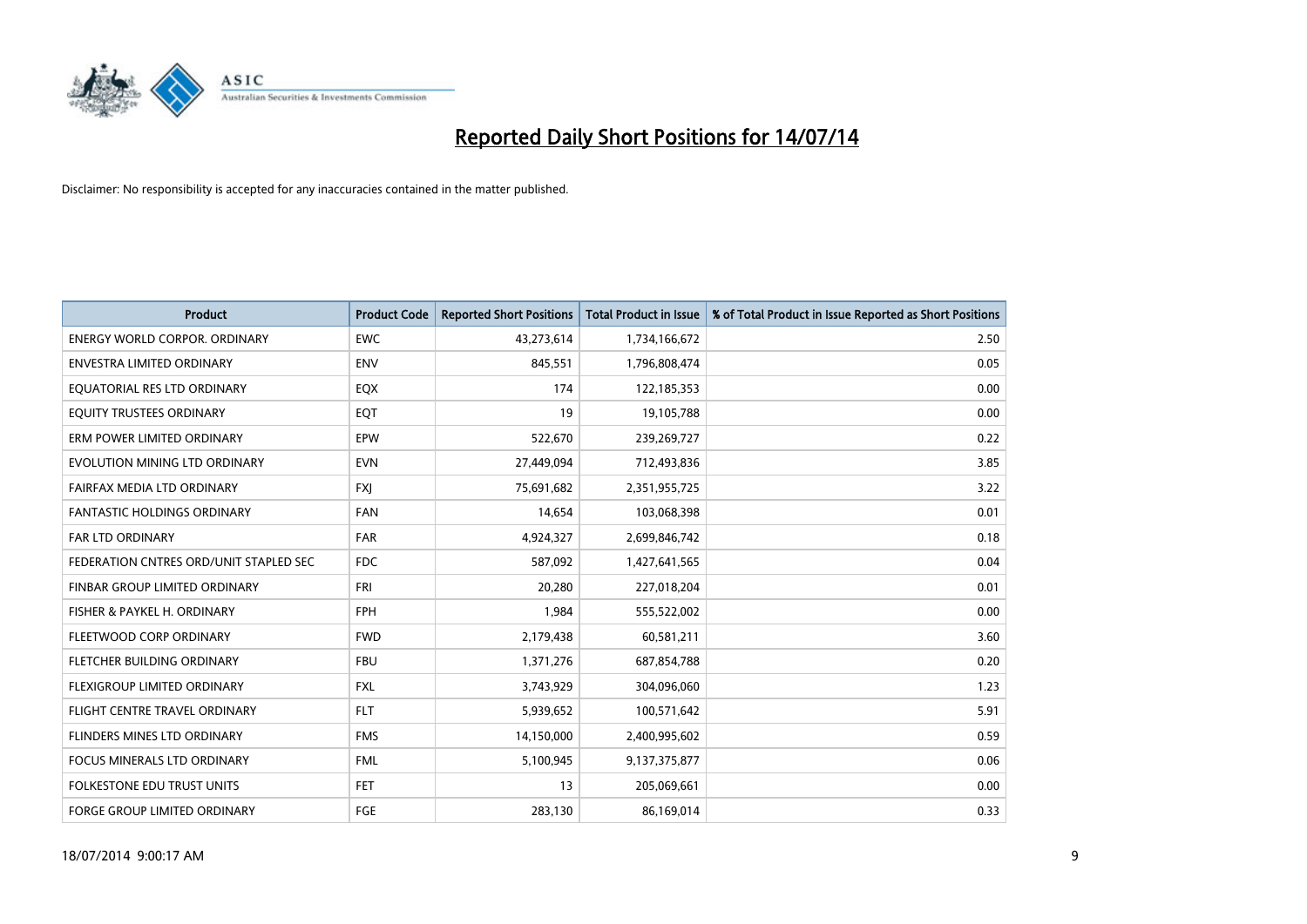

| <b>Product</b>                         | <b>Product Code</b> | <b>Reported Short Positions</b> | <b>Total Product in Issue</b> | % of Total Product in Issue Reported as Short Positions |
|----------------------------------------|---------------------|---------------------------------|-------------------------------|---------------------------------------------------------|
| <b>ENERGY WORLD CORPOR, ORDINARY</b>   | <b>EWC</b>          | 43,273,614                      | 1,734,166,672                 | 2.50                                                    |
| ENVESTRA LIMITED ORDINARY              | <b>ENV</b>          | 845,551                         | 1,796,808,474                 | 0.05                                                    |
| EQUATORIAL RES LTD ORDINARY            | EQX                 | 174                             | 122,185,353                   | 0.00                                                    |
| EQUITY TRUSTEES ORDINARY               | EQT                 | 19                              | 19,105,788                    | 0.00                                                    |
| ERM POWER LIMITED ORDINARY             | EPW                 | 522,670                         | 239,269,727                   | 0.22                                                    |
| EVOLUTION MINING LTD ORDINARY          | <b>EVN</b>          | 27,449,094                      | 712,493,836                   | 3.85                                                    |
| FAIRFAX MEDIA LTD ORDINARY             | <b>FXJ</b>          | 75,691,682                      | 2,351,955,725                 | 3.22                                                    |
| <b>FANTASTIC HOLDINGS ORDINARY</b>     | <b>FAN</b>          | 14,654                          | 103,068,398                   | 0.01                                                    |
| <b>FAR LTD ORDINARY</b>                | <b>FAR</b>          | 4,924,327                       | 2,699,846,742                 | 0.18                                                    |
| FEDERATION CNTRES ORD/UNIT STAPLED SEC | <b>FDC</b>          | 587,092                         | 1,427,641,565                 | 0.04                                                    |
| FINBAR GROUP LIMITED ORDINARY          | <b>FRI</b>          | 20,280                          | 227,018,204                   | 0.01                                                    |
| FISHER & PAYKEL H. ORDINARY            | <b>FPH</b>          | 1,984                           | 555,522,002                   | 0.00                                                    |
| FLEETWOOD CORP ORDINARY                | <b>FWD</b>          | 2,179,438                       | 60,581,211                    | 3.60                                                    |
| FLETCHER BUILDING ORDINARY             | <b>FBU</b>          | 1,371,276                       | 687,854,788                   | 0.20                                                    |
| FLEXIGROUP LIMITED ORDINARY            | <b>FXL</b>          | 3,743,929                       | 304,096,060                   | 1.23                                                    |
| FLIGHT CENTRE TRAVEL ORDINARY          | <b>FLT</b>          | 5,939,652                       | 100,571,642                   | 5.91                                                    |
| FLINDERS MINES LTD ORDINARY            | <b>FMS</b>          | 14,150,000                      | 2,400,995,602                 | 0.59                                                    |
| <b>FOCUS MINERALS LTD ORDINARY</b>     | <b>FML</b>          | 5,100,945                       | 9,137,375,877                 | 0.06                                                    |
| <b>FOLKESTONE EDU TRUST UNITS</b>      | <b>FET</b>          | 13                              | 205,069,661                   | 0.00                                                    |
| <b>FORGE GROUP LIMITED ORDINARY</b>    | FGE                 | 283,130                         | 86,169,014                    | 0.33                                                    |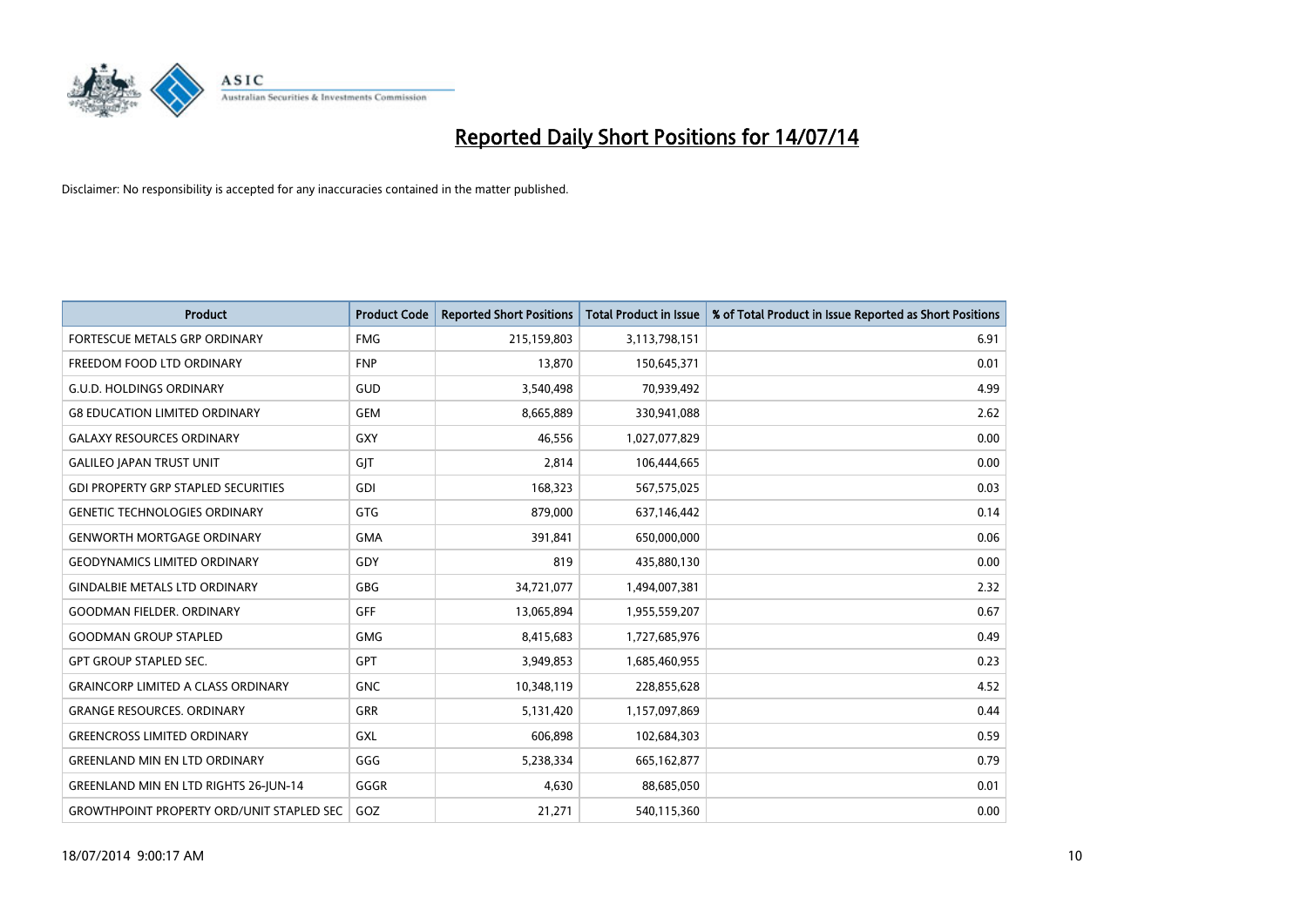

| <b>Product</b>                                   | <b>Product Code</b> | <b>Reported Short Positions</b> | <b>Total Product in Issue</b> | % of Total Product in Issue Reported as Short Positions |
|--------------------------------------------------|---------------------|---------------------------------|-------------------------------|---------------------------------------------------------|
| FORTESCUE METALS GRP ORDINARY                    | <b>FMG</b>          | 215,159,803                     | 3,113,798,151                 | 6.91                                                    |
| FREEDOM FOOD LTD ORDINARY                        | <b>FNP</b>          | 13,870                          | 150,645,371                   | 0.01                                                    |
| <b>G.U.D. HOLDINGS ORDINARY</b>                  | GUD                 | 3,540,498                       | 70,939,492                    | 4.99                                                    |
| <b>G8 EDUCATION LIMITED ORDINARY</b>             | <b>GEM</b>          | 8,665,889                       | 330,941,088                   | 2.62                                                    |
| <b>GALAXY RESOURCES ORDINARY</b>                 | <b>GXY</b>          | 46,556                          | 1,027,077,829                 | 0.00                                                    |
| <b>GALILEO JAPAN TRUST UNIT</b>                  | GJT                 | 2,814                           | 106,444,665                   | 0.00                                                    |
| <b>GDI PROPERTY GRP STAPLED SECURITIES</b>       | <b>GDI</b>          | 168,323                         | 567,575,025                   | 0.03                                                    |
| <b>GENETIC TECHNOLOGIES ORDINARY</b>             | <b>GTG</b>          | 879,000                         | 637,146,442                   | 0.14                                                    |
| <b>GENWORTH MORTGAGE ORDINARY</b>                | <b>GMA</b>          | 391,841                         | 650,000,000                   | 0.06                                                    |
| <b>GEODYNAMICS LIMITED ORDINARY</b>              | GDY                 | 819                             | 435,880,130                   | 0.00                                                    |
| <b>GINDALBIE METALS LTD ORDINARY</b>             | GBG                 | 34,721,077                      | 1,494,007,381                 | 2.32                                                    |
| <b>GOODMAN FIELDER, ORDINARY</b>                 | <b>GFF</b>          | 13,065,894                      | 1,955,559,207                 | 0.67                                                    |
| <b>GOODMAN GROUP STAPLED</b>                     | <b>GMG</b>          | 8,415,683                       | 1,727,685,976                 | 0.49                                                    |
| <b>GPT GROUP STAPLED SEC.</b>                    | GPT                 | 3,949,853                       | 1,685,460,955                 | 0.23                                                    |
| <b>GRAINCORP LIMITED A CLASS ORDINARY</b>        | <b>GNC</b>          | 10,348,119                      | 228,855,628                   | 4.52                                                    |
| <b>GRANGE RESOURCES. ORDINARY</b>                | GRR                 | 5,131,420                       | 1,157,097,869                 | 0.44                                                    |
| <b>GREENCROSS LIMITED ORDINARY</b>               | GXL                 | 606,898                         | 102,684,303                   | 0.59                                                    |
| <b>GREENLAND MIN EN LTD ORDINARY</b>             | GGG                 | 5,238,334                       | 665, 162, 877                 | 0.79                                                    |
| <b>GREENLAND MIN EN LTD RIGHTS 26-JUN-14</b>     | GGGR                | 4,630                           | 88,685,050                    | 0.01                                                    |
| <b>GROWTHPOINT PROPERTY ORD/UNIT STAPLED SEC</b> | GOZ                 | 21,271                          | 540,115,360                   | 0.00                                                    |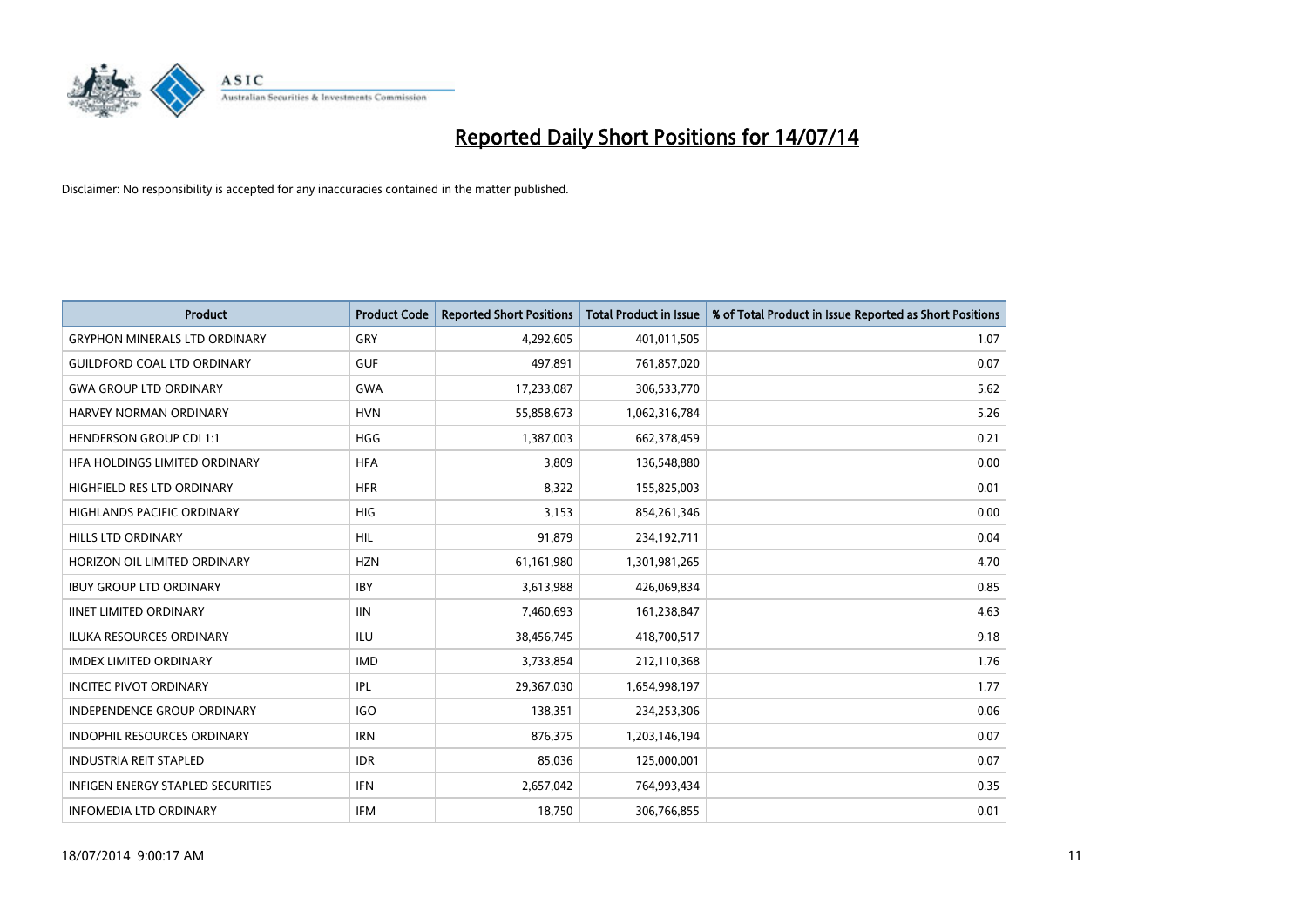

| <b>Product</b>                           | <b>Product Code</b> | <b>Reported Short Positions</b> | <b>Total Product in Issue</b> | % of Total Product in Issue Reported as Short Positions |
|------------------------------------------|---------------------|---------------------------------|-------------------------------|---------------------------------------------------------|
| <b>GRYPHON MINERALS LTD ORDINARY</b>     | GRY                 | 4,292,605                       | 401,011,505                   | 1.07                                                    |
| <b>GUILDFORD COAL LTD ORDINARY</b>       | <b>GUF</b>          | 497,891                         | 761,857,020                   | 0.07                                                    |
| <b>GWA GROUP LTD ORDINARY</b>            | <b>GWA</b>          | 17,233,087                      | 306,533,770                   | 5.62                                                    |
| HARVEY NORMAN ORDINARY                   | <b>HVN</b>          | 55,858,673                      | 1,062,316,784                 | 5.26                                                    |
| <b>HENDERSON GROUP CDI 1:1</b>           | <b>HGG</b>          | 1,387,003                       | 662,378,459                   | 0.21                                                    |
| HFA HOLDINGS LIMITED ORDINARY            | <b>HFA</b>          | 3,809                           | 136,548,880                   | 0.00                                                    |
| HIGHFIELD RES LTD ORDINARY               | <b>HFR</b>          | 8,322                           | 155,825,003                   | 0.01                                                    |
| HIGHLANDS PACIFIC ORDINARY               | <b>HIG</b>          | 3,153                           | 854,261,346                   | 0.00                                                    |
| <b>HILLS LTD ORDINARY</b>                | <b>HIL</b>          | 91,879                          | 234,192,711                   | 0.04                                                    |
| HORIZON OIL LIMITED ORDINARY             | <b>HZN</b>          | 61,161,980                      | 1,301,981,265                 | 4.70                                                    |
| <b>IBUY GROUP LTD ORDINARY</b>           | <b>IBY</b>          | 3,613,988                       | 426,069,834                   | 0.85                                                    |
| <b>IINET LIMITED ORDINARY</b>            | <b>IIN</b>          | 7,460,693                       | 161,238,847                   | 4.63                                                    |
| ILUKA RESOURCES ORDINARY                 | ILU                 | 38,456,745                      | 418,700,517                   | 9.18                                                    |
| <b>IMDEX LIMITED ORDINARY</b>            | <b>IMD</b>          | 3,733,854                       | 212,110,368                   | 1.76                                                    |
| <b>INCITEC PIVOT ORDINARY</b>            | IPL                 | 29,367,030                      | 1,654,998,197                 | 1.77                                                    |
| INDEPENDENCE GROUP ORDINARY              | <b>IGO</b>          | 138,351                         | 234,253,306                   | 0.06                                                    |
| INDOPHIL RESOURCES ORDINARY              | <b>IRN</b>          | 876,375                         | 1,203,146,194                 | 0.07                                                    |
| <b>INDUSTRIA REIT STAPLED</b>            | <b>IDR</b>          | 85,036                          | 125,000,001                   | 0.07                                                    |
| <b>INFIGEN ENERGY STAPLED SECURITIES</b> | <b>IFN</b>          | 2,657,042                       | 764,993,434                   | 0.35                                                    |
| <b>INFOMEDIA LTD ORDINARY</b>            | <b>IFM</b>          | 18,750                          | 306,766,855                   | 0.01                                                    |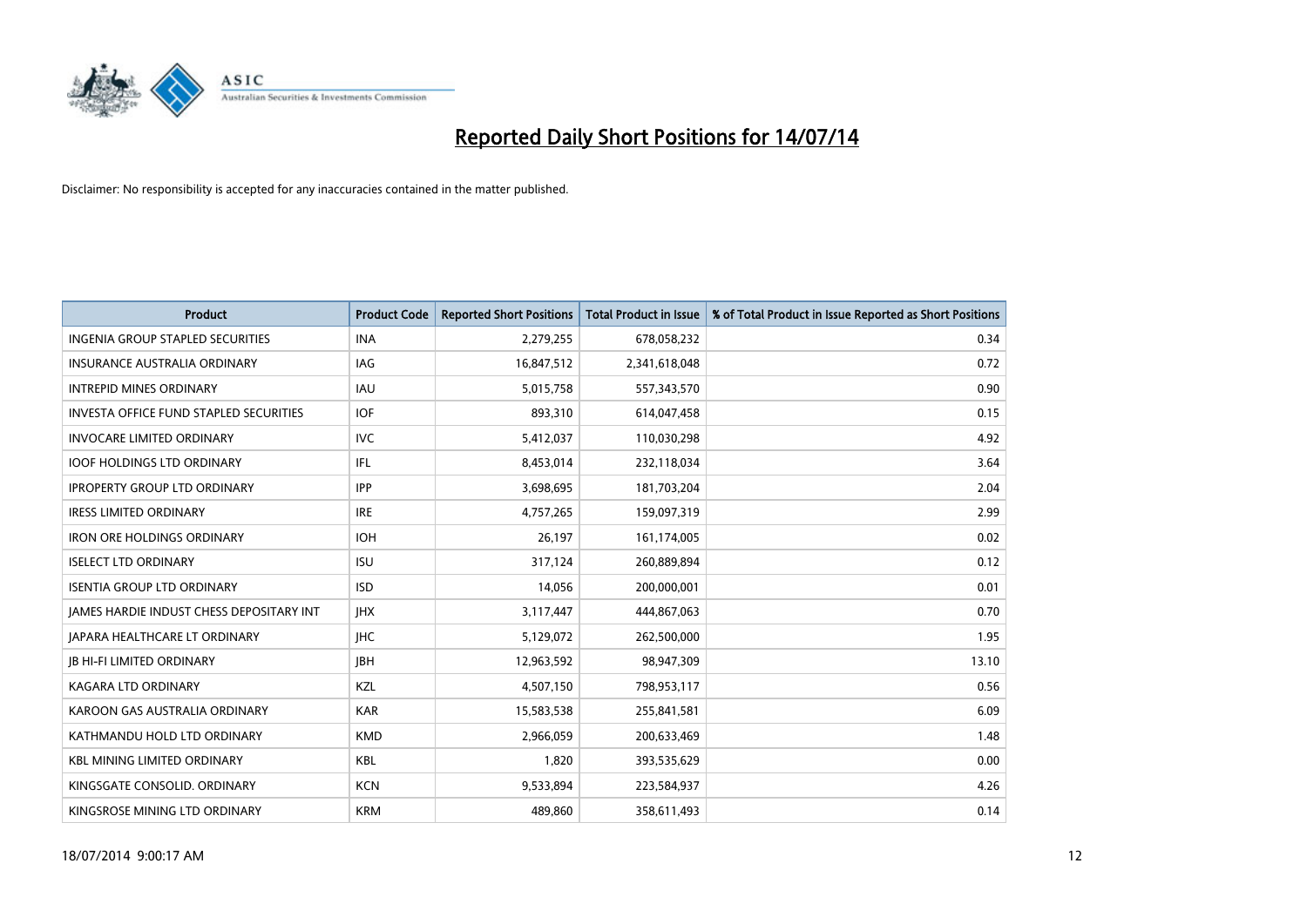

| <b>Product</b>                                | <b>Product Code</b> | <b>Reported Short Positions</b> | <b>Total Product in Issue</b> | % of Total Product in Issue Reported as Short Positions |
|-----------------------------------------------|---------------------|---------------------------------|-------------------------------|---------------------------------------------------------|
| <b>INGENIA GROUP STAPLED SECURITIES</b>       | <b>INA</b>          | 2,279,255                       | 678,058,232                   | 0.34                                                    |
| INSURANCE AUSTRALIA ORDINARY                  | IAG                 | 16,847,512                      | 2,341,618,048                 | 0.72                                                    |
| <b>INTREPID MINES ORDINARY</b>                | <b>IAU</b>          | 5,015,758                       | 557,343,570                   | 0.90                                                    |
| <b>INVESTA OFFICE FUND STAPLED SECURITIES</b> | <b>IOF</b>          | 893,310                         | 614,047,458                   | 0.15                                                    |
| <b>INVOCARE LIMITED ORDINARY</b>              | <b>IVC</b>          | 5,412,037                       | 110,030,298                   | 4.92                                                    |
| <b>IOOF HOLDINGS LTD ORDINARY</b>             | IFL                 | 8,453,014                       | 232,118,034                   | 3.64                                                    |
| <b>IPROPERTY GROUP LTD ORDINARY</b>           | <b>IPP</b>          | 3,698,695                       | 181,703,204                   | 2.04                                                    |
| <b>IRESS LIMITED ORDINARY</b>                 | <b>IRE</b>          | 4,757,265                       | 159,097,319                   | 2.99                                                    |
| <b>IRON ORE HOLDINGS ORDINARY</b>             | <b>IOH</b>          | 26,197                          | 161,174,005                   | 0.02                                                    |
| <b>ISELECT LTD ORDINARY</b>                   | <b>ISU</b>          | 317,124                         | 260,889,894                   | 0.12                                                    |
| <b>ISENTIA GROUP LTD ORDINARY</b>             | <b>ISD</b>          | 14,056                          | 200,000,001                   | 0.01                                                    |
| JAMES HARDIE INDUST CHESS DEPOSITARY INT      | <b>IHX</b>          | 3,117,447                       | 444,867,063                   | 0.70                                                    |
| <b>JAPARA HEALTHCARE LT ORDINARY</b>          | <b>IHC</b>          | 5,129,072                       | 262,500,000                   | 1.95                                                    |
| <b>JB HI-FI LIMITED ORDINARY</b>              | <b>IBH</b>          | 12,963,592                      | 98,947,309                    | 13.10                                                   |
| <b>KAGARA LTD ORDINARY</b>                    | <b>KZL</b>          | 4,507,150                       | 798,953,117                   | 0.56                                                    |
| KAROON GAS AUSTRALIA ORDINARY                 | <b>KAR</b>          | 15,583,538                      | 255,841,581                   | 6.09                                                    |
| KATHMANDU HOLD LTD ORDINARY                   | <b>KMD</b>          | 2,966,059                       | 200,633,469                   | 1.48                                                    |
| <b>KBL MINING LIMITED ORDINARY</b>            | <b>KBL</b>          | 1,820                           | 393,535,629                   | 0.00                                                    |
| KINGSGATE CONSOLID, ORDINARY                  | <b>KCN</b>          | 9,533,894                       | 223,584,937                   | 4.26                                                    |
| KINGSROSE MINING LTD ORDINARY                 | <b>KRM</b>          | 489,860                         | 358,611,493                   | 0.14                                                    |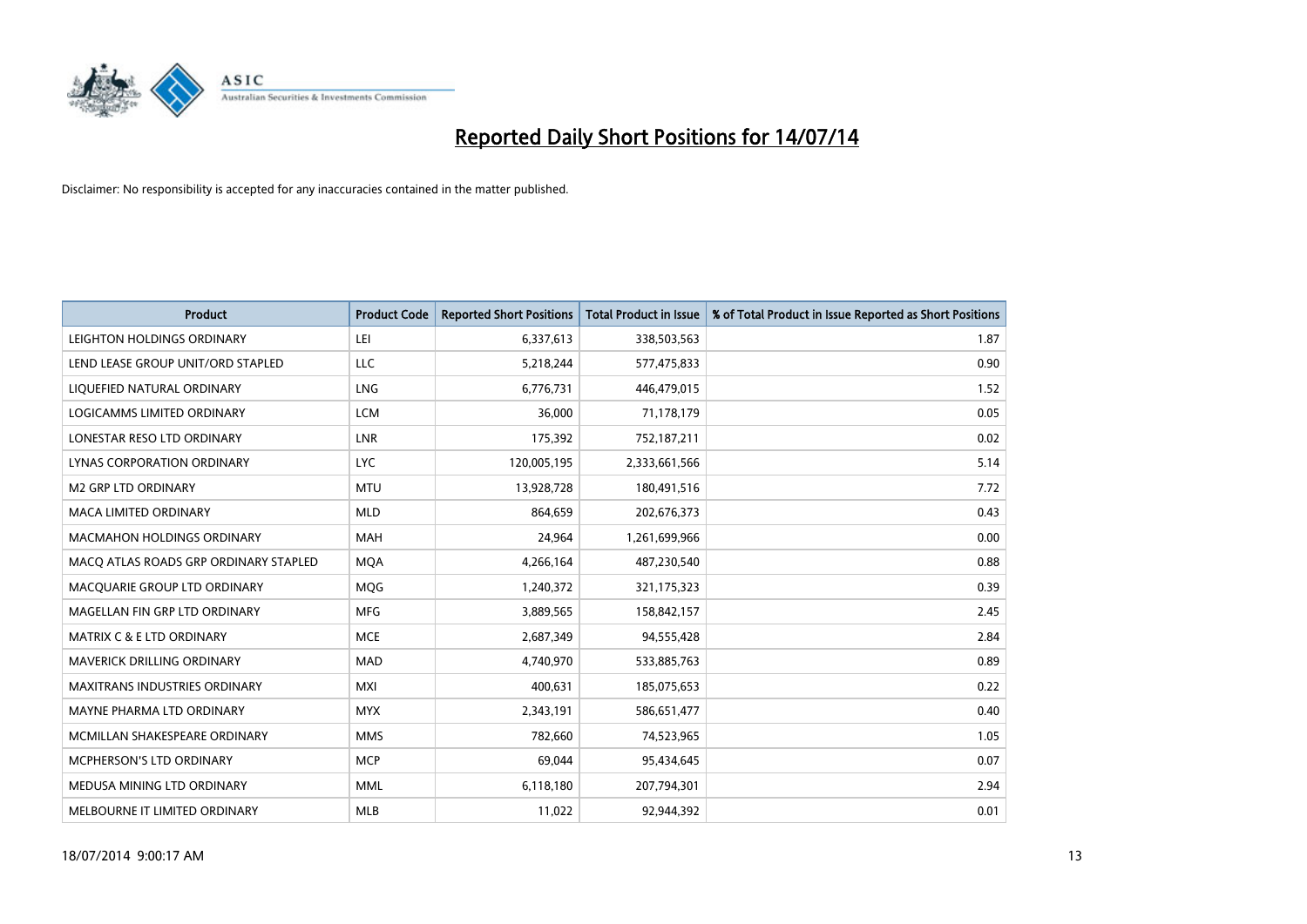

| <b>Product</b>                        | <b>Product Code</b> | <b>Reported Short Positions</b> | <b>Total Product in Issue</b> | % of Total Product in Issue Reported as Short Positions |
|---------------------------------------|---------------------|---------------------------------|-------------------------------|---------------------------------------------------------|
| LEIGHTON HOLDINGS ORDINARY            | LEI                 | 6,337,613                       | 338,503,563                   | 1.87                                                    |
| LEND LEASE GROUP UNIT/ORD STAPLED     | LLC                 | 5,218,244                       | 577,475,833                   | 0.90                                                    |
| LIQUEFIED NATURAL ORDINARY            | <b>LNG</b>          | 6,776,731                       | 446,479,015                   | 1.52                                                    |
| LOGICAMMS LIMITED ORDINARY            | <b>LCM</b>          | 36,000                          | 71,178,179                    | 0.05                                                    |
| LONESTAR RESO LTD ORDINARY            | <b>LNR</b>          | 175,392                         | 752,187,211                   | 0.02                                                    |
| <b>LYNAS CORPORATION ORDINARY</b>     | <b>LYC</b>          | 120,005,195                     | 2,333,661,566                 | 5.14                                                    |
| <b>M2 GRP LTD ORDINARY</b>            | <b>MTU</b>          | 13,928,728                      | 180,491,516                   | 7.72                                                    |
| MACA LIMITED ORDINARY                 | <b>MLD</b>          | 864,659                         | 202,676,373                   | 0.43                                                    |
| <b>MACMAHON HOLDINGS ORDINARY</b>     | <b>MAH</b>          | 24.964                          | 1,261,699,966                 | 0.00                                                    |
| MACO ATLAS ROADS GRP ORDINARY STAPLED | <b>MQA</b>          | 4,266,164                       | 487,230,540                   | 0.88                                                    |
| MACQUARIE GROUP LTD ORDINARY          | <b>MQG</b>          | 1,240,372                       | 321,175,323                   | 0.39                                                    |
| MAGELLAN FIN GRP LTD ORDINARY         | <b>MFG</b>          | 3,889,565                       | 158,842,157                   | 2.45                                                    |
| <b>MATRIX C &amp; E LTD ORDINARY</b>  | <b>MCE</b>          | 2,687,349                       | 94,555,428                    | 2.84                                                    |
| <b>MAVERICK DRILLING ORDINARY</b>     | <b>MAD</b>          | 4,740,970                       | 533,885,763                   | 0.89                                                    |
| <b>MAXITRANS INDUSTRIES ORDINARY</b>  | <b>MXI</b>          | 400,631                         | 185,075,653                   | 0.22                                                    |
| MAYNE PHARMA LTD ORDINARY             | <b>MYX</b>          | 2,343,191                       | 586,651,477                   | 0.40                                                    |
| MCMILLAN SHAKESPEARE ORDINARY         | <b>MMS</b>          | 782,660                         | 74,523,965                    | 1.05                                                    |
| MCPHERSON'S LTD ORDINARY              | <b>MCP</b>          | 69,044                          | 95,434,645                    | 0.07                                                    |
| MEDUSA MINING LTD ORDINARY            | <b>MML</b>          | 6,118,180                       | 207,794,301                   | 2.94                                                    |
| MELBOURNE IT LIMITED ORDINARY         | <b>MLB</b>          | 11,022                          | 92,944,392                    | 0.01                                                    |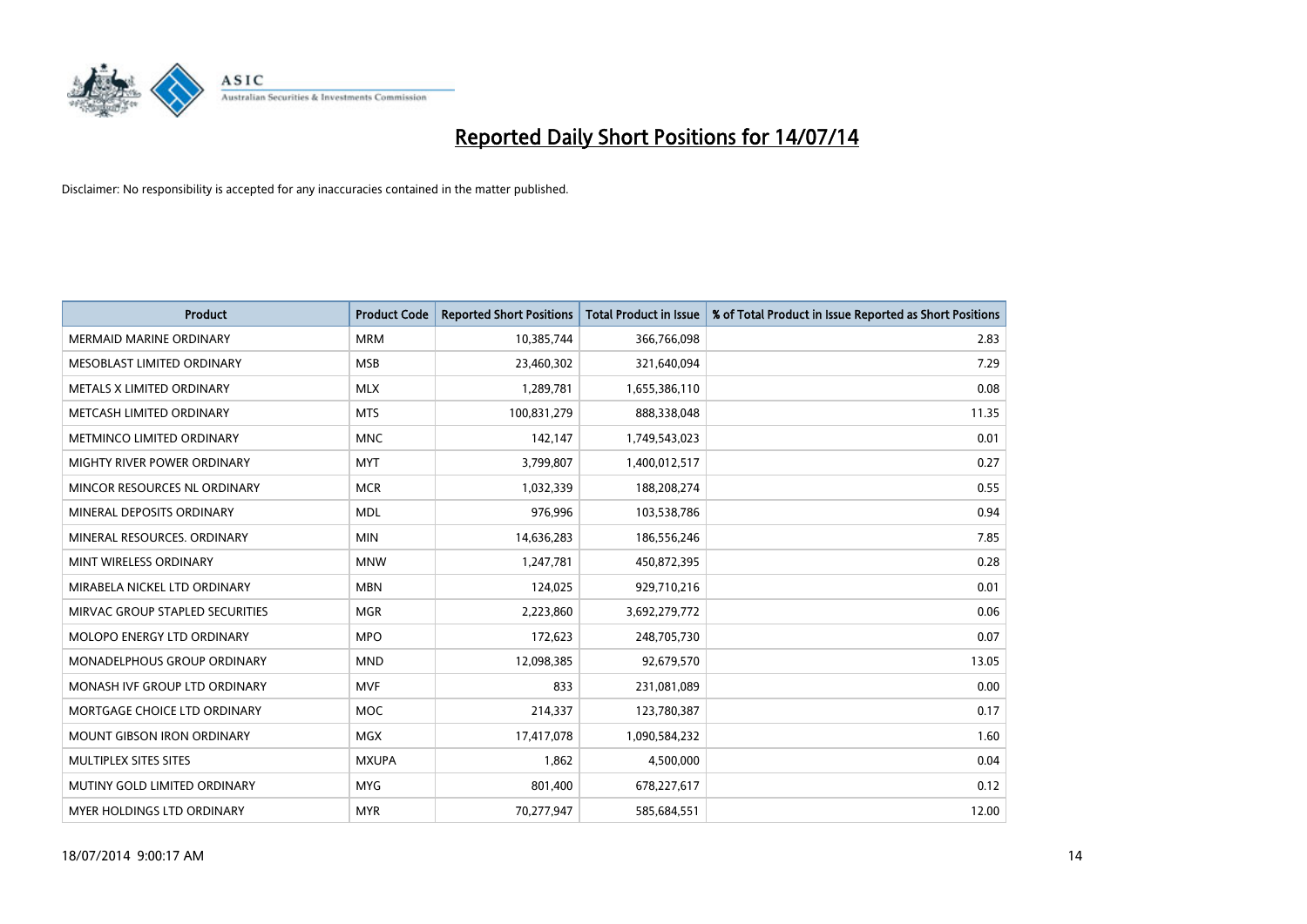

| <b>Product</b>                  | <b>Product Code</b> | <b>Reported Short Positions</b> | <b>Total Product in Issue</b> | % of Total Product in Issue Reported as Short Positions |
|---------------------------------|---------------------|---------------------------------|-------------------------------|---------------------------------------------------------|
| <b>MERMAID MARINE ORDINARY</b>  | <b>MRM</b>          | 10,385,744                      | 366,766,098                   | 2.83                                                    |
| MESOBLAST LIMITED ORDINARY      | <b>MSB</b>          | 23,460,302                      | 321,640,094                   | 7.29                                                    |
| METALS X LIMITED ORDINARY       | <b>MLX</b>          | 1,289,781                       | 1,655,386,110                 | 0.08                                                    |
| METCASH LIMITED ORDINARY        | <b>MTS</b>          | 100,831,279                     | 888,338,048                   | 11.35                                                   |
| METMINCO LIMITED ORDINARY       | <b>MNC</b>          | 142,147                         | 1,749,543,023                 | 0.01                                                    |
| MIGHTY RIVER POWER ORDINARY     | <b>MYT</b>          | 3,799,807                       | 1,400,012,517                 | 0.27                                                    |
| MINCOR RESOURCES NL ORDINARY    | <b>MCR</b>          | 1,032,339                       | 188,208,274                   | 0.55                                                    |
| MINERAL DEPOSITS ORDINARY       | <b>MDL</b>          | 976,996                         | 103,538,786                   | 0.94                                                    |
| MINERAL RESOURCES, ORDINARY     | <b>MIN</b>          | 14,636,283                      | 186,556,246                   | 7.85                                                    |
| MINT WIRELESS ORDINARY          | <b>MNW</b>          | 1,247,781                       | 450,872,395                   | 0.28                                                    |
| MIRABELA NICKEL LTD ORDINARY    | <b>MBN</b>          | 124,025                         | 929,710,216                   | 0.01                                                    |
| MIRVAC GROUP STAPLED SECURITIES | <b>MGR</b>          | 2,223,860                       | 3,692,279,772                 | 0.06                                                    |
| MOLOPO ENERGY LTD ORDINARY      | <b>MPO</b>          | 172,623                         | 248,705,730                   | 0.07                                                    |
| MONADELPHOUS GROUP ORDINARY     | <b>MND</b>          | 12,098,385                      | 92,679,570                    | 13.05                                                   |
| MONASH IVF GROUP LTD ORDINARY   | <b>MVF</b>          | 833                             | 231,081,089                   | 0.00                                                    |
| MORTGAGE CHOICE LTD ORDINARY    | MOC                 | 214,337                         | 123,780,387                   | 0.17                                                    |
| MOUNT GIBSON IRON ORDINARY      | <b>MGX</b>          | 17,417,078                      | 1,090,584,232                 | 1.60                                                    |
| MULTIPLEX SITES SITES           | <b>MXUPA</b>        | 1,862                           | 4,500,000                     | 0.04                                                    |
| MUTINY GOLD LIMITED ORDINARY    | <b>MYG</b>          | 801,400                         | 678,227,617                   | 0.12                                                    |
| MYER HOLDINGS LTD ORDINARY      | <b>MYR</b>          | 70,277,947                      | 585,684,551                   | 12.00                                                   |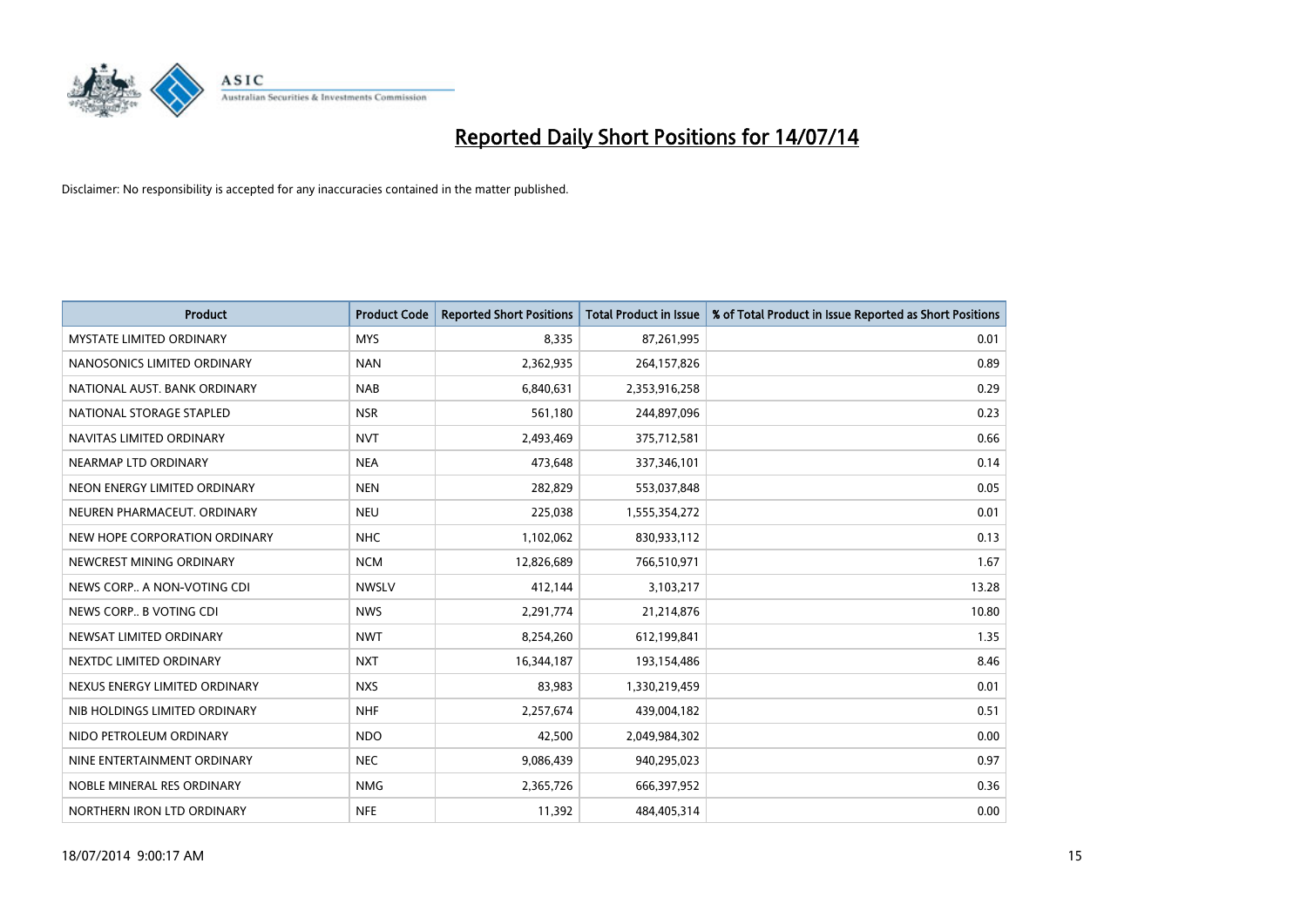

| <b>Product</b>                  | <b>Product Code</b> | <b>Reported Short Positions</b> | <b>Total Product in Issue</b> | % of Total Product in Issue Reported as Short Positions |
|---------------------------------|---------------------|---------------------------------|-------------------------------|---------------------------------------------------------|
| <b>MYSTATE LIMITED ORDINARY</b> | <b>MYS</b>          | 8.335                           | 87,261,995                    | 0.01                                                    |
| NANOSONICS LIMITED ORDINARY     | <b>NAN</b>          | 2,362,935                       | 264,157,826                   | 0.89                                                    |
| NATIONAL AUST, BANK ORDINARY    | <b>NAB</b>          | 6,840,631                       | 2,353,916,258                 | 0.29                                                    |
| NATIONAL STORAGE STAPLED        | <b>NSR</b>          | 561,180                         | 244,897,096                   | 0.23                                                    |
| NAVITAS LIMITED ORDINARY        | <b>NVT</b>          | 2,493,469                       | 375,712,581                   | 0.66                                                    |
| NEARMAP LTD ORDINARY            | <b>NEA</b>          | 473,648                         | 337,346,101                   | 0.14                                                    |
| NEON ENERGY LIMITED ORDINARY    | <b>NEN</b>          | 282,829                         | 553,037,848                   | 0.05                                                    |
| NEUREN PHARMACEUT, ORDINARY     | <b>NEU</b>          | 225,038                         | 1,555,354,272                 | 0.01                                                    |
| NEW HOPE CORPORATION ORDINARY   | <b>NHC</b>          | 1,102,062                       | 830,933,112                   | 0.13                                                    |
| NEWCREST MINING ORDINARY        | <b>NCM</b>          | 12,826,689                      | 766,510,971                   | 1.67                                                    |
| NEWS CORP A NON-VOTING CDI      | <b>NWSLV</b>        | 412,144                         | 3,103,217                     | 13.28                                                   |
| NEWS CORP B VOTING CDI          | <b>NWS</b>          | 2,291,774                       | 21,214,876                    | 10.80                                                   |
| NEWSAT LIMITED ORDINARY         | <b>NWT</b>          | 8,254,260                       | 612,199,841                   | 1.35                                                    |
| NEXTDC LIMITED ORDINARY         | <b>NXT</b>          | 16,344,187                      | 193,154,486                   | 8.46                                                    |
| NEXUS ENERGY LIMITED ORDINARY   | <b>NXS</b>          | 83,983                          | 1,330,219,459                 | 0.01                                                    |
| NIB HOLDINGS LIMITED ORDINARY   | <b>NHF</b>          | 2,257,674                       | 439,004,182                   | 0.51                                                    |
| NIDO PETROLEUM ORDINARY         | <b>NDO</b>          | 42,500                          | 2,049,984,302                 | 0.00                                                    |
| NINE ENTERTAINMENT ORDINARY     | <b>NEC</b>          | 9,086,439                       | 940,295,023                   | 0.97                                                    |
| NOBLE MINERAL RES ORDINARY      | <b>NMG</b>          | 2,365,726                       | 666,397,952                   | 0.36                                                    |
| NORTHERN IRON LTD ORDINARY      | <b>NFE</b>          | 11,392                          | 484,405,314                   | 0.00                                                    |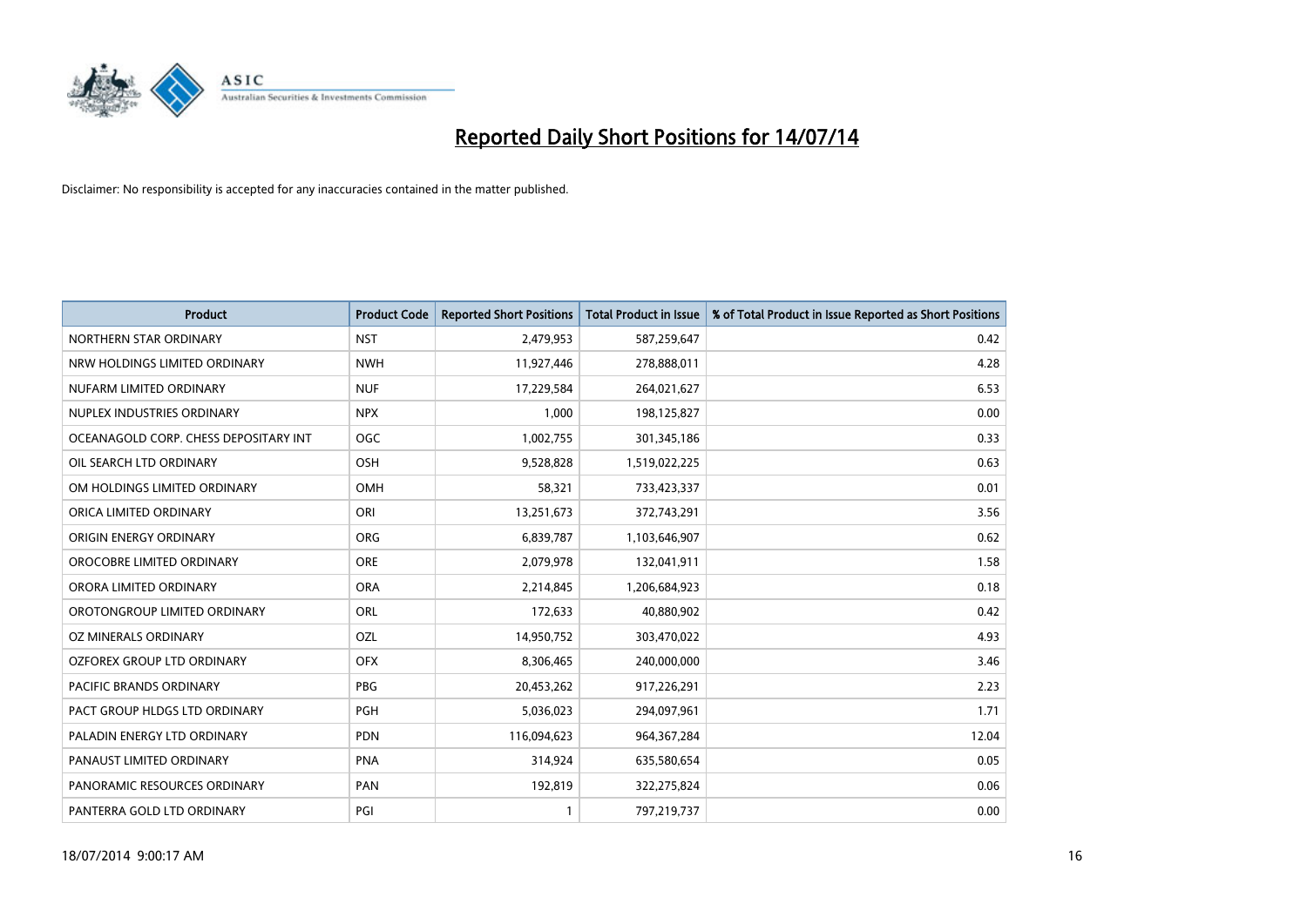

| <b>Product</b>                        | <b>Product Code</b> | <b>Reported Short Positions</b> | <b>Total Product in Issue</b> | % of Total Product in Issue Reported as Short Positions |
|---------------------------------------|---------------------|---------------------------------|-------------------------------|---------------------------------------------------------|
| NORTHERN STAR ORDINARY                | <b>NST</b>          | 2,479,953                       | 587,259,647                   | 0.42                                                    |
| NRW HOLDINGS LIMITED ORDINARY         | <b>NWH</b>          | 11,927,446                      | 278,888,011                   | 4.28                                                    |
| NUFARM LIMITED ORDINARY               | <b>NUF</b>          | 17,229,584                      | 264,021,627                   | 6.53                                                    |
| NUPLEX INDUSTRIES ORDINARY            | <b>NPX</b>          | 1,000                           | 198,125,827                   | 0.00                                                    |
| OCEANAGOLD CORP. CHESS DEPOSITARY INT | <b>OGC</b>          | 1,002,755                       | 301,345,186                   | 0.33                                                    |
| OIL SEARCH LTD ORDINARY               | OSH                 | 9,528,828                       | 1,519,022,225                 | 0.63                                                    |
| OM HOLDINGS LIMITED ORDINARY          | <b>OMH</b>          | 58,321                          | 733,423,337                   | 0.01                                                    |
| ORICA LIMITED ORDINARY                | ORI                 | 13,251,673                      | 372,743,291                   | 3.56                                                    |
| ORIGIN ENERGY ORDINARY                | <b>ORG</b>          | 6,839,787                       | 1,103,646,907                 | 0.62                                                    |
| OROCOBRE LIMITED ORDINARY             | <b>ORE</b>          | 2,079,978                       | 132,041,911                   | 1.58                                                    |
| ORORA LIMITED ORDINARY                | <b>ORA</b>          | 2,214,845                       | 1,206,684,923                 | 0.18                                                    |
| OROTONGROUP LIMITED ORDINARY          | <b>ORL</b>          | 172,633                         | 40,880,902                    | 0.42                                                    |
| OZ MINERALS ORDINARY                  | OZL                 | 14,950,752                      | 303,470,022                   | 4.93                                                    |
| OZFOREX GROUP LTD ORDINARY            | <b>OFX</b>          | 8,306,465                       | 240,000,000                   | 3.46                                                    |
| PACIFIC BRANDS ORDINARY               | <b>PBG</b>          | 20,453,262                      | 917,226,291                   | 2.23                                                    |
| PACT GROUP HLDGS LTD ORDINARY         | <b>PGH</b>          | 5,036,023                       | 294,097,961                   | 1.71                                                    |
| PALADIN ENERGY LTD ORDINARY           | <b>PDN</b>          | 116,094,623                     | 964, 367, 284                 | 12.04                                                   |
| PANAUST LIMITED ORDINARY              | <b>PNA</b>          | 314,924                         | 635,580,654                   | 0.05                                                    |
| PANORAMIC RESOURCES ORDINARY          | PAN                 | 192,819                         | 322,275,824                   | 0.06                                                    |
| PANTERRA GOLD LTD ORDINARY            | PGI                 |                                 | 797,219,737                   | 0.00                                                    |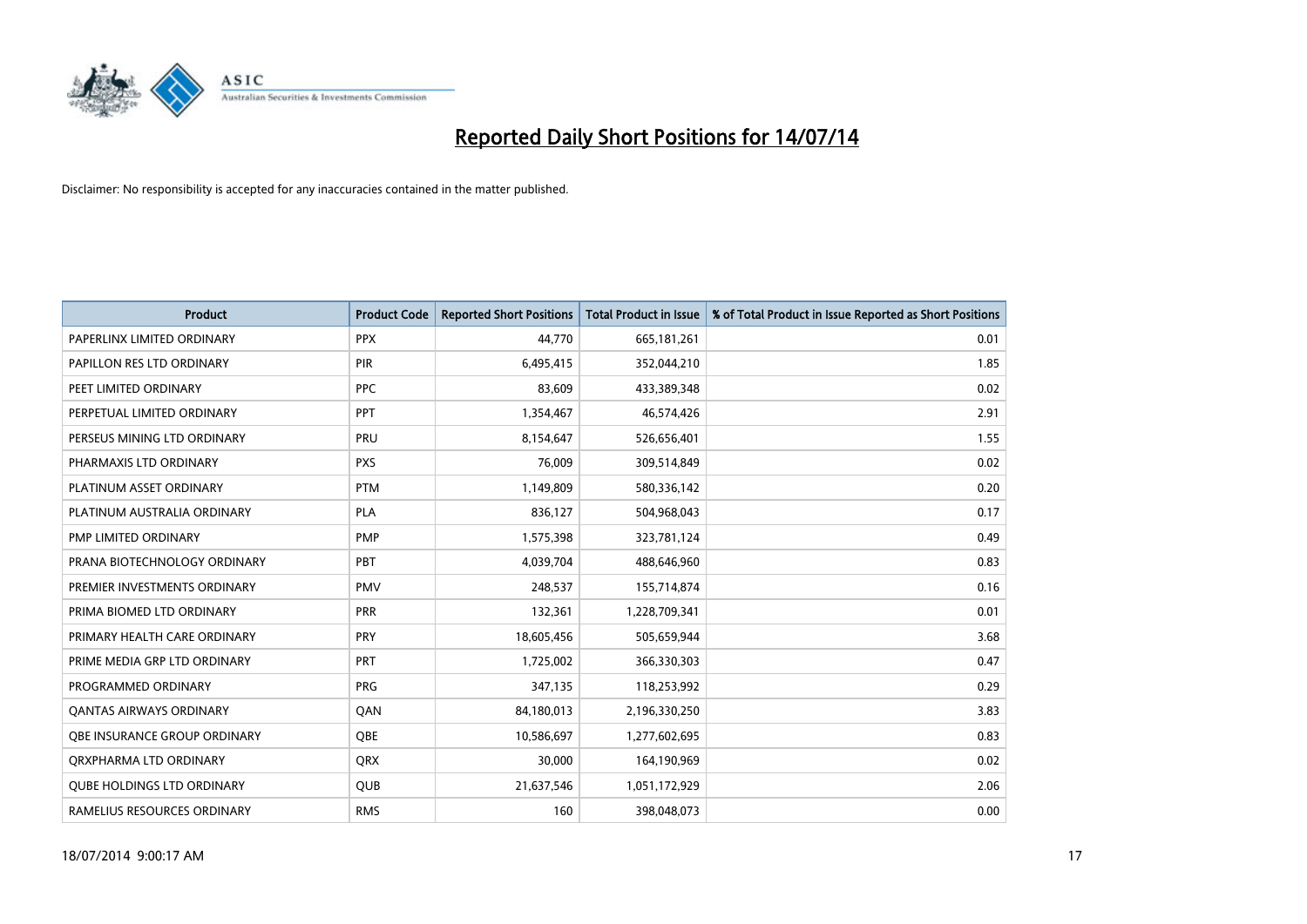

| <b>Product</b>                    | <b>Product Code</b> | <b>Reported Short Positions</b> | <b>Total Product in Issue</b> | % of Total Product in Issue Reported as Short Positions |
|-----------------------------------|---------------------|---------------------------------|-------------------------------|---------------------------------------------------------|
| PAPERLINX LIMITED ORDINARY        | <b>PPX</b>          | 44,770                          | 665, 181, 261                 | 0.01                                                    |
| PAPILLON RES LTD ORDINARY         | PIR                 | 6,495,415                       | 352,044,210                   | 1.85                                                    |
| PEET LIMITED ORDINARY             | <b>PPC</b>          | 83,609                          | 433,389,348                   | 0.02                                                    |
| PERPETUAL LIMITED ORDINARY        | PPT                 | 1,354,467                       | 46,574,426                    | 2.91                                                    |
| PERSEUS MINING LTD ORDINARY       | PRU                 | 8,154,647                       | 526,656,401                   | 1.55                                                    |
| PHARMAXIS LTD ORDINARY            | <b>PXS</b>          | 76,009                          | 309,514,849                   | 0.02                                                    |
| PLATINUM ASSET ORDINARY           | <b>PTM</b>          | 1,149,809                       | 580,336,142                   | 0.20                                                    |
| PLATINUM AUSTRALIA ORDINARY       | <b>PLA</b>          | 836,127                         | 504,968,043                   | 0.17                                                    |
| PMP LIMITED ORDINARY              | <b>PMP</b>          | 1,575,398                       | 323,781,124                   | 0.49                                                    |
| PRANA BIOTECHNOLOGY ORDINARY      | <b>PBT</b>          | 4,039,704                       | 488,646,960                   | 0.83                                                    |
| PREMIER INVESTMENTS ORDINARY      | <b>PMV</b>          | 248,537                         | 155,714,874                   | 0.16                                                    |
| PRIMA BIOMED LTD ORDINARY         | <b>PRR</b>          | 132,361                         | 1,228,709,341                 | 0.01                                                    |
| PRIMARY HEALTH CARE ORDINARY      | <b>PRY</b>          | 18,605,456                      | 505,659,944                   | 3.68                                                    |
| PRIME MEDIA GRP LTD ORDINARY      | <b>PRT</b>          | 1,725,002                       | 366,330,303                   | 0.47                                                    |
| PROGRAMMED ORDINARY               | <b>PRG</b>          | 347,135                         | 118,253,992                   | 0.29                                                    |
| <b>QANTAS AIRWAYS ORDINARY</b>    | QAN                 | 84,180,013                      | 2,196,330,250                 | 3.83                                                    |
| OBE INSURANCE GROUP ORDINARY      | OBE                 | 10,586,697                      | 1,277,602,695                 | 0.83                                                    |
| ORXPHARMA LTD ORDINARY            | QRX                 | 30,000                          | 164,190,969                   | 0.02                                                    |
| <b>QUBE HOLDINGS LTD ORDINARY</b> | <b>QUB</b>          | 21,637,546                      | 1,051,172,929                 | 2.06                                                    |
| RAMELIUS RESOURCES ORDINARY       | <b>RMS</b>          | 160                             | 398,048,073                   | 0.00                                                    |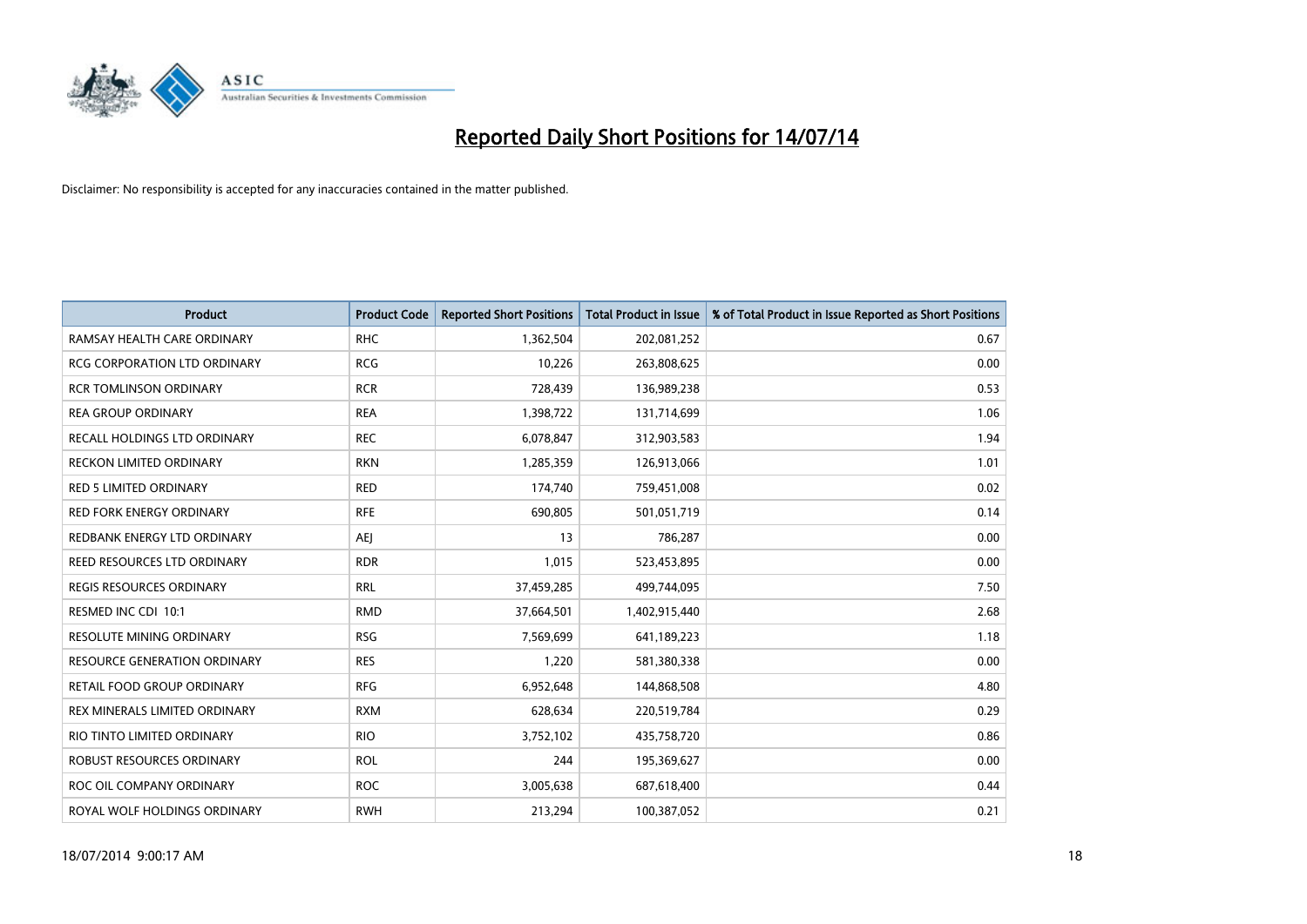

| Product                             | <b>Product Code</b> | <b>Reported Short Positions</b> | <b>Total Product in Issue</b> | % of Total Product in Issue Reported as Short Positions |
|-------------------------------------|---------------------|---------------------------------|-------------------------------|---------------------------------------------------------|
| RAMSAY HEALTH CARE ORDINARY         | <b>RHC</b>          | 1,362,504                       | 202,081,252                   | 0.67                                                    |
| RCG CORPORATION LTD ORDINARY        | <b>RCG</b>          | 10,226                          | 263,808,625                   | 0.00                                                    |
| <b>RCR TOMLINSON ORDINARY</b>       | <b>RCR</b>          | 728,439                         | 136,989,238                   | 0.53                                                    |
| <b>REA GROUP ORDINARY</b>           | <b>REA</b>          | 1,398,722                       | 131,714,699                   | 1.06                                                    |
| RECALL HOLDINGS LTD ORDINARY        | <b>REC</b>          | 6,078,847                       | 312,903,583                   | 1.94                                                    |
| <b>RECKON LIMITED ORDINARY</b>      | <b>RKN</b>          | 1,285,359                       | 126,913,066                   | 1.01                                                    |
| RED 5 LIMITED ORDINARY              | <b>RED</b>          | 174,740                         | 759,451,008                   | 0.02                                                    |
| RED FORK ENERGY ORDINARY            | <b>RFE</b>          | 690,805                         | 501,051,719                   | 0.14                                                    |
| REDBANK ENERGY LTD ORDINARY         | <b>AEJ</b>          | 13                              | 786,287                       | 0.00                                                    |
| REED RESOURCES LTD ORDINARY         | <b>RDR</b>          | 1,015                           | 523,453,895                   | 0.00                                                    |
| REGIS RESOURCES ORDINARY            | <b>RRL</b>          | 37,459,285                      | 499,744,095                   | 7.50                                                    |
| RESMED INC CDI 10:1                 | <b>RMD</b>          | 37,664,501                      | 1,402,915,440                 | 2.68                                                    |
| <b>RESOLUTE MINING ORDINARY</b>     | <b>RSG</b>          | 7,569,699                       | 641,189,223                   | 1.18                                                    |
| <b>RESOURCE GENERATION ORDINARY</b> | <b>RES</b>          | 1,220                           | 581,380,338                   | 0.00                                                    |
| RETAIL FOOD GROUP ORDINARY          | <b>RFG</b>          | 6,952,648                       | 144,868,508                   | 4.80                                                    |
| REX MINERALS LIMITED ORDINARY       | <b>RXM</b>          | 628,634                         | 220,519,784                   | 0.29                                                    |
| RIO TINTO LIMITED ORDINARY          | <b>RIO</b>          | 3,752,102                       | 435,758,720                   | 0.86                                                    |
| ROBUST RESOURCES ORDINARY           | <b>ROL</b>          | 244                             | 195,369,627                   | 0.00                                                    |
| ROC OIL COMPANY ORDINARY            | <b>ROC</b>          | 3,005,638                       | 687,618,400                   | 0.44                                                    |
| ROYAL WOLF HOLDINGS ORDINARY        | <b>RWH</b>          | 213,294                         | 100,387,052                   | 0.21                                                    |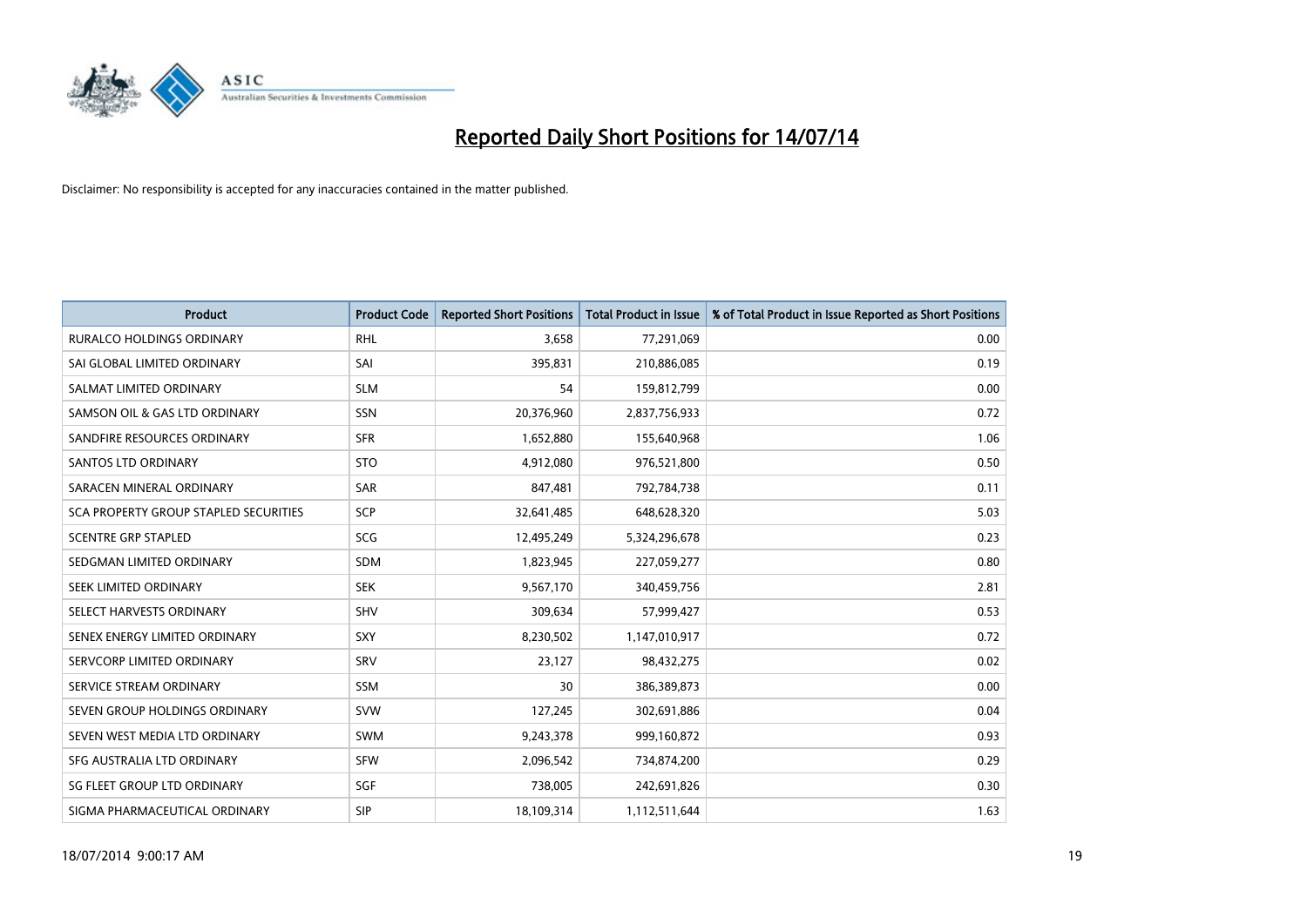

| <b>Product</b>                        | <b>Product Code</b> | <b>Reported Short Positions</b> | <b>Total Product in Issue</b> | % of Total Product in Issue Reported as Short Positions |
|---------------------------------------|---------------------|---------------------------------|-------------------------------|---------------------------------------------------------|
| <b>RURALCO HOLDINGS ORDINARY</b>      | <b>RHL</b>          | 3,658                           | 77,291,069                    | 0.00                                                    |
| SAI GLOBAL LIMITED ORDINARY           | SAI                 | 395,831                         | 210,886,085                   | 0.19                                                    |
| SALMAT LIMITED ORDINARY               | <b>SLM</b>          | 54                              | 159,812,799                   | 0.00                                                    |
| SAMSON OIL & GAS LTD ORDINARY         | SSN                 | 20,376,960                      | 2,837,756,933                 | 0.72                                                    |
| SANDFIRE RESOURCES ORDINARY           | <b>SFR</b>          | 1,652,880                       | 155,640,968                   | 1.06                                                    |
| SANTOS LTD ORDINARY                   | <b>STO</b>          | 4,912,080                       | 976,521,800                   | 0.50                                                    |
| SARACEN MINERAL ORDINARY              | <b>SAR</b>          | 847,481                         | 792,784,738                   | 0.11                                                    |
| SCA PROPERTY GROUP STAPLED SECURITIES | SCP                 | 32,641,485                      | 648,628,320                   | 5.03                                                    |
| <b>SCENTRE GRP STAPLED</b>            | <b>SCG</b>          | 12,495,249                      | 5,324,296,678                 | 0.23                                                    |
| SEDGMAN LIMITED ORDINARY              | <b>SDM</b>          | 1,823,945                       | 227,059,277                   | 0.80                                                    |
| SEEK LIMITED ORDINARY                 | <b>SEK</b>          | 9,567,170                       | 340,459,756                   | 2.81                                                    |
| SELECT HARVESTS ORDINARY              | SHV                 | 309,634                         | 57,999,427                    | 0.53                                                    |
| SENEX ENERGY LIMITED ORDINARY         | <b>SXY</b>          | 8,230,502                       | 1,147,010,917                 | 0.72                                                    |
| SERVCORP LIMITED ORDINARY             | SRV                 | 23,127                          | 98,432,275                    | 0.02                                                    |
| SERVICE STREAM ORDINARY               | <b>SSM</b>          | 30                              | 386,389,873                   | 0.00                                                    |
| SEVEN GROUP HOLDINGS ORDINARY         | <b>SVW</b>          | 127,245                         | 302,691,886                   | 0.04                                                    |
| SEVEN WEST MEDIA LTD ORDINARY         | SWM                 | 9,243,378                       | 999,160,872                   | 0.93                                                    |
| SFG AUSTRALIA LTD ORDINARY            | <b>SFW</b>          | 2,096,542                       | 734,874,200                   | 0.29                                                    |
| SG FLEET GROUP LTD ORDINARY           | SGF                 | 738,005                         | 242,691,826                   | 0.30                                                    |
| SIGMA PHARMACEUTICAL ORDINARY         | <b>SIP</b>          | 18,109,314                      | 1,112,511,644                 | 1.63                                                    |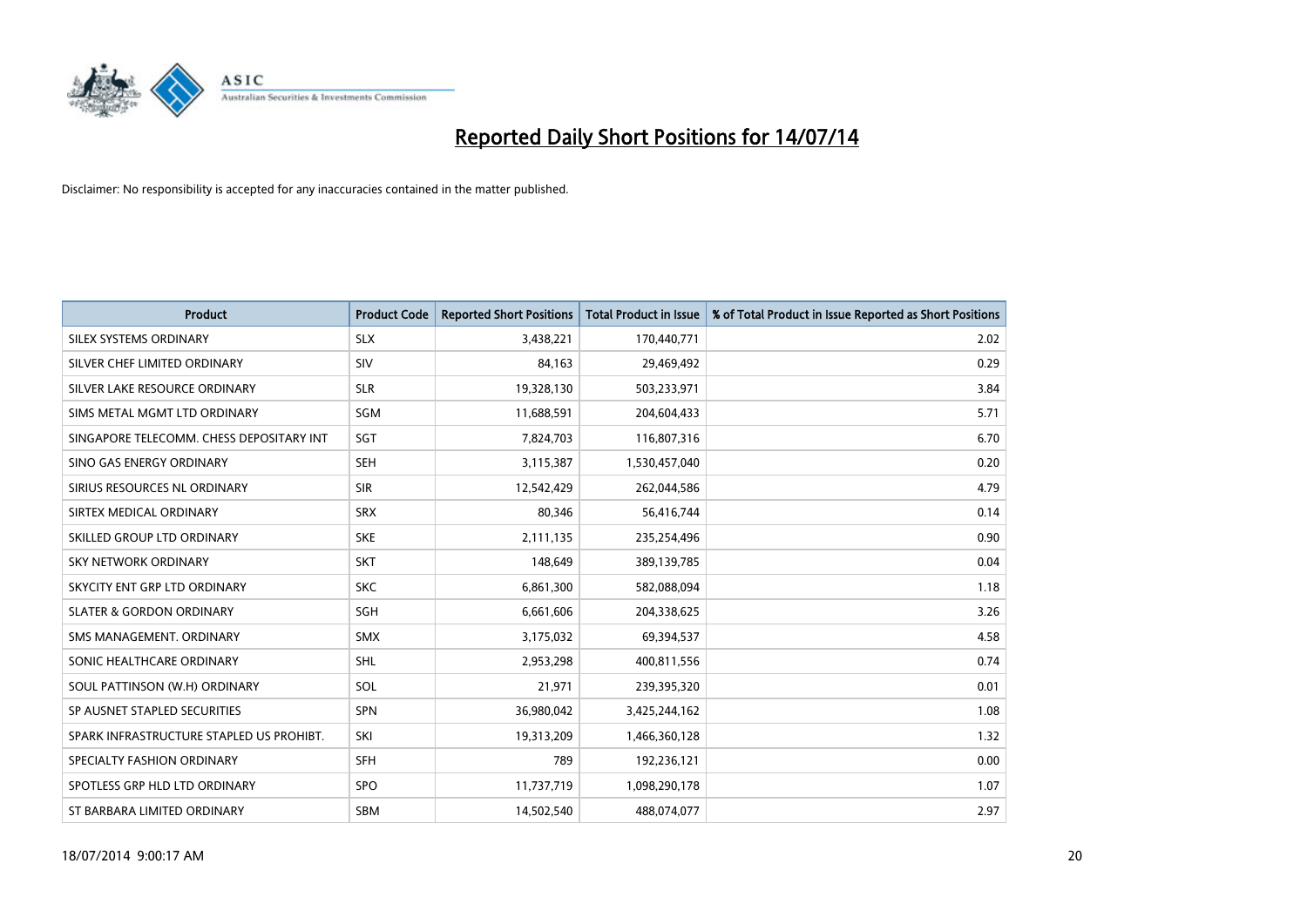

| <b>Product</b>                           | <b>Product Code</b> | <b>Reported Short Positions</b> | <b>Total Product in Issue</b> | % of Total Product in Issue Reported as Short Positions |
|------------------------------------------|---------------------|---------------------------------|-------------------------------|---------------------------------------------------------|
| SILEX SYSTEMS ORDINARY                   | <b>SLX</b>          | 3,438,221                       | 170,440,771                   | 2.02                                                    |
| SILVER CHEF LIMITED ORDINARY             | SIV                 | 84,163                          | 29,469,492                    | 0.29                                                    |
| SILVER LAKE RESOURCE ORDINARY            | <b>SLR</b>          | 19,328,130                      | 503,233,971                   | 3.84                                                    |
| SIMS METAL MGMT LTD ORDINARY             | SGM                 | 11,688,591                      | 204,604,433                   | 5.71                                                    |
| SINGAPORE TELECOMM. CHESS DEPOSITARY INT | SGT                 | 7,824,703                       | 116,807,316                   | 6.70                                                    |
| SINO GAS ENERGY ORDINARY                 | <b>SEH</b>          | 3,115,387                       | 1,530,457,040                 | 0.20                                                    |
| SIRIUS RESOURCES NL ORDINARY             | <b>SIR</b>          | 12,542,429                      | 262,044,586                   | 4.79                                                    |
| SIRTEX MEDICAL ORDINARY                  | <b>SRX</b>          | 80,346                          | 56,416,744                    | 0.14                                                    |
| SKILLED GROUP LTD ORDINARY               | <b>SKE</b>          | 2,111,135                       | 235,254,496                   | 0.90                                                    |
| <b>SKY NETWORK ORDINARY</b>              | <b>SKT</b>          | 148,649                         | 389,139,785                   | 0.04                                                    |
| SKYCITY ENT GRP LTD ORDINARY             | <b>SKC</b>          | 6,861,300                       | 582,088,094                   | 1.18                                                    |
| <b>SLATER &amp; GORDON ORDINARY</b>      | SGH                 | 6,661,606                       | 204,338,625                   | 3.26                                                    |
| SMS MANAGEMENT. ORDINARY                 | <b>SMX</b>          | 3,175,032                       | 69,394,537                    | 4.58                                                    |
| SONIC HEALTHCARE ORDINARY                | SHL                 | 2,953,298                       | 400,811,556                   | 0.74                                                    |
| SOUL PATTINSON (W.H) ORDINARY            | SOL                 | 21,971                          | 239,395,320                   | 0.01                                                    |
| SP AUSNET STAPLED SECURITIES             | <b>SPN</b>          | 36,980,042                      | 3,425,244,162                 | 1.08                                                    |
| SPARK INFRASTRUCTURE STAPLED US PROHIBT. | SKI                 | 19,313,209                      | 1,466,360,128                 | 1.32                                                    |
| SPECIALTY FASHION ORDINARY               | <b>SFH</b>          | 789                             | 192,236,121                   | 0.00                                                    |
| SPOTLESS GRP HLD LTD ORDINARY            | SPO                 | 11,737,719                      | 1,098,290,178                 | 1.07                                                    |
| ST BARBARA LIMITED ORDINARY              | <b>SBM</b>          | 14,502,540                      | 488,074,077                   | 2.97                                                    |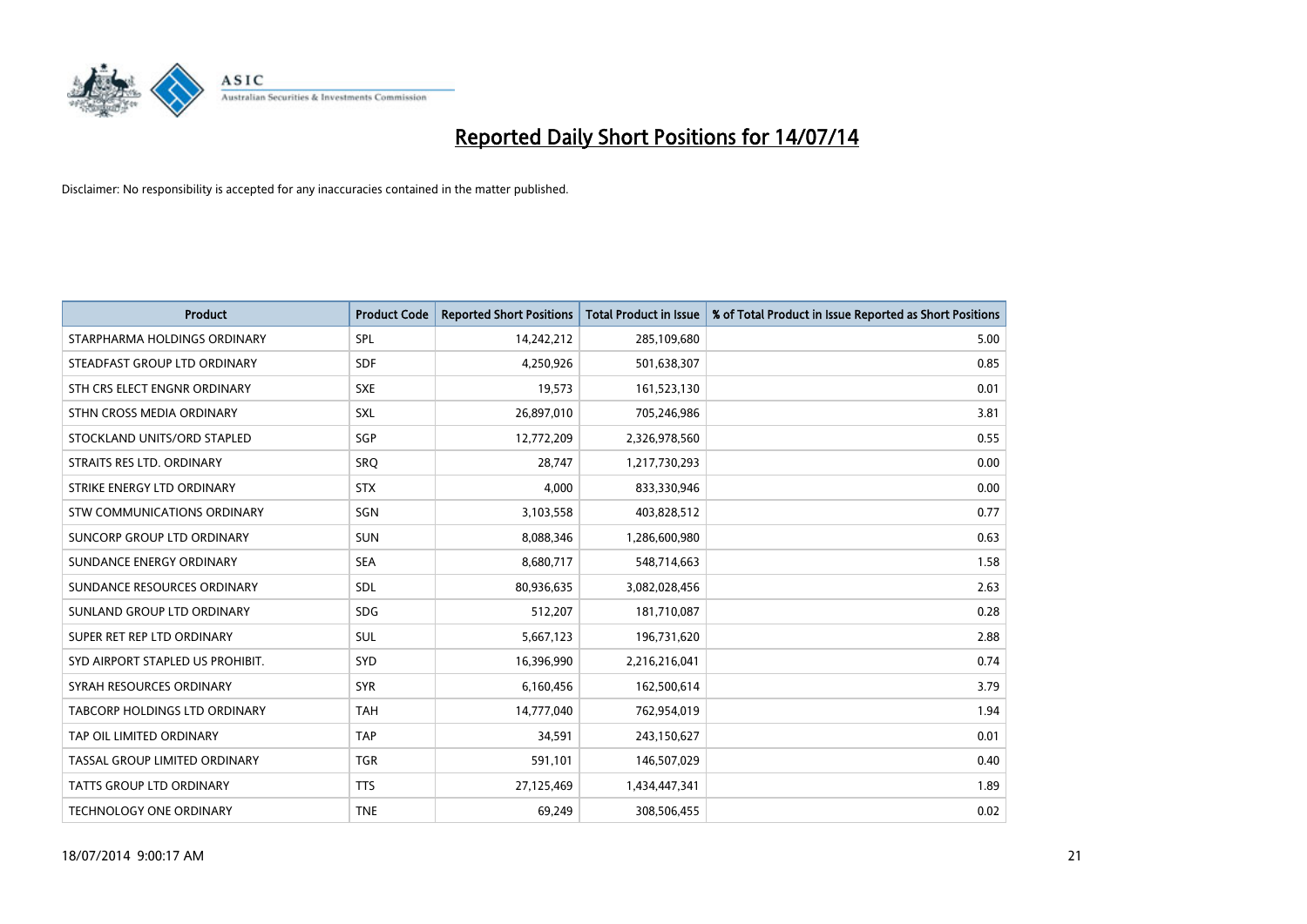

| <b>Product</b>                   | <b>Product Code</b> | <b>Reported Short Positions</b> | <b>Total Product in Issue</b> | % of Total Product in Issue Reported as Short Positions |
|----------------------------------|---------------------|---------------------------------|-------------------------------|---------------------------------------------------------|
| STARPHARMA HOLDINGS ORDINARY     | SPL                 | 14,242,212                      | 285,109,680                   | 5.00                                                    |
| STEADFAST GROUP LTD ORDINARY     | <b>SDF</b>          | 4,250,926                       | 501,638,307                   | 0.85                                                    |
| STH CRS ELECT ENGNR ORDINARY     | <b>SXE</b>          | 19,573                          | 161,523,130                   | 0.01                                                    |
| STHN CROSS MEDIA ORDINARY        | SXL                 | 26,897,010                      | 705,246,986                   | 3.81                                                    |
| STOCKLAND UNITS/ORD STAPLED      | SGP                 | 12,772,209                      | 2,326,978,560                 | 0.55                                                    |
| STRAITS RES LTD. ORDINARY        | <b>SRQ</b>          | 28,747                          | 1,217,730,293                 | 0.00                                                    |
| STRIKE ENERGY LTD ORDINARY       | <b>STX</b>          | 4,000                           | 833,330,946                   | 0.00                                                    |
| STW COMMUNICATIONS ORDINARY      | SGN                 | 3,103,558                       | 403,828,512                   | 0.77                                                    |
| SUNCORP GROUP LTD ORDINARY       | <b>SUN</b>          | 8,088,346                       | 1,286,600,980                 | 0.63                                                    |
| SUNDANCE ENERGY ORDINARY         | <b>SEA</b>          | 8,680,717                       | 548,714,663                   | 1.58                                                    |
| SUNDANCE RESOURCES ORDINARY      | SDL                 | 80,936,635                      | 3,082,028,456                 | 2.63                                                    |
| SUNLAND GROUP LTD ORDINARY       | <b>SDG</b>          | 512,207                         | 181,710,087                   | 0.28                                                    |
| SUPER RET REP LTD ORDINARY       | SUL                 | 5,667,123                       | 196,731,620                   | 2.88                                                    |
| SYD AIRPORT STAPLED US PROHIBIT. | <b>SYD</b>          | 16,396,990                      | 2,216,216,041                 | 0.74                                                    |
| SYRAH RESOURCES ORDINARY         | <b>SYR</b>          | 6,160,456                       | 162,500,614                   | 3.79                                                    |
| TABCORP HOLDINGS LTD ORDINARY    | <b>TAH</b>          | 14,777,040                      | 762,954,019                   | 1.94                                                    |
| TAP OIL LIMITED ORDINARY         | <b>TAP</b>          | 34,591                          | 243,150,627                   | 0.01                                                    |
| TASSAL GROUP LIMITED ORDINARY    | <b>TGR</b>          | 591,101                         | 146,507,029                   | 0.40                                                    |
| <b>TATTS GROUP LTD ORDINARY</b>  | <b>TTS</b>          | 27,125,469                      | 1,434,447,341                 | 1.89                                                    |
| TECHNOLOGY ONE ORDINARY          | <b>TNE</b>          | 69,249                          | 308,506,455                   | 0.02                                                    |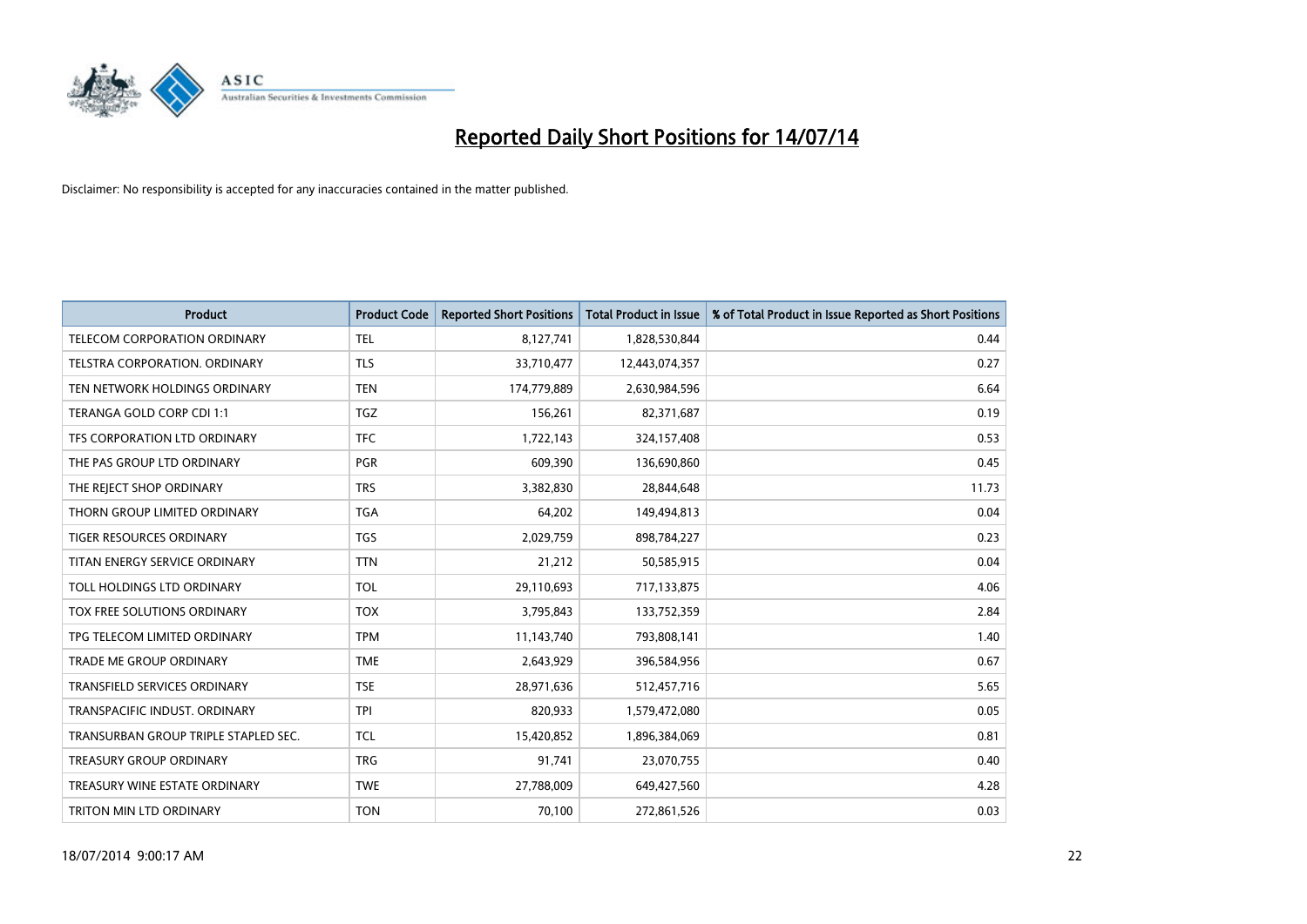

| <b>Product</b>                       | <b>Product Code</b> | <b>Reported Short Positions</b> | <b>Total Product in Issue</b> | % of Total Product in Issue Reported as Short Positions |
|--------------------------------------|---------------------|---------------------------------|-------------------------------|---------------------------------------------------------|
| TELECOM CORPORATION ORDINARY         | <b>TEL</b>          | 8,127,741                       | 1,828,530,844                 | 0.44                                                    |
| TELSTRA CORPORATION, ORDINARY        | <b>TLS</b>          | 33,710,477                      | 12,443,074,357                | 0.27                                                    |
| TEN NETWORK HOLDINGS ORDINARY        | <b>TEN</b>          | 174,779,889                     | 2,630,984,596                 | 6.64                                                    |
| TERANGA GOLD CORP CDI 1:1            | <b>TGZ</b>          | 156,261                         | 82,371,687                    | 0.19                                                    |
| TFS CORPORATION LTD ORDINARY         | <b>TFC</b>          | 1,722,143                       | 324,157,408                   | 0.53                                                    |
| THE PAS GROUP LTD ORDINARY           | <b>PGR</b>          | 609,390                         | 136,690,860                   | 0.45                                                    |
| THE REJECT SHOP ORDINARY             | <b>TRS</b>          | 3,382,830                       | 28,844,648                    | 11.73                                                   |
| THORN GROUP LIMITED ORDINARY         | <b>TGA</b>          | 64,202                          | 149,494,813                   | 0.04                                                    |
| TIGER RESOURCES ORDINARY             | <b>TGS</b>          | 2,029,759                       | 898,784,227                   | 0.23                                                    |
| TITAN ENERGY SERVICE ORDINARY        | <b>TTN</b>          | 21,212                          | 50,585,915                    | 0.04                                                    |
| TOLL HOLDINGS LTD ORDINARY           | <b>TOL</b>          | 29,110,693                      | 717,133,875                   | 4.06                                                    |
| TOX FREE SOLUTIONS ORDINARY          | <b>TOX</b>          | 3,795,843                       | 133,752,359                   | 2.84                                                    |
| TPG TELECOM LIMITED ORDINARY         | <b>TPM</b>          | 11,143,740                      | 793,808,141                   | 1.40                                                    |
| <b>TRADE ME GROUP ORDINARY</b>       | <b>TME</b>          | 2,643,929                       | 396,584,956                   | 0.67                                                    |
| TRANSFIELD SERVICES ORDINARY         | <b>TSE</b>          | 28,971,636                      | 512,457,716                   | 5.65                                                    |
| TRANSPACIFIC INDUST, ORDINARY        | <b>TPI</b>          | 820,933                         | 1,579,472,080                 | 0.05                                                    |
| TRANSURBAN GROUP TRIPLE STAPLED SEC. | TCL                 | 15,420,852                      | 1,896,384,069                 | 0.81                                                    |
| <b>TREASURY GROUP ORDINARY</b>       | <b>TRG</b>          | 91,741                          | 23,070,755                    | 0.40                                                    |
| TREASURY WINE ESTATE ORDINARY        | <b>TWE</b>          | 27,788,009                      | 649,427,560                   | 4.28                                                    |
| TRITON MIN LTD ORDINARY              | <b>TON</b>          | 70,100                          | 272,861,526                   | 0.03                                                    |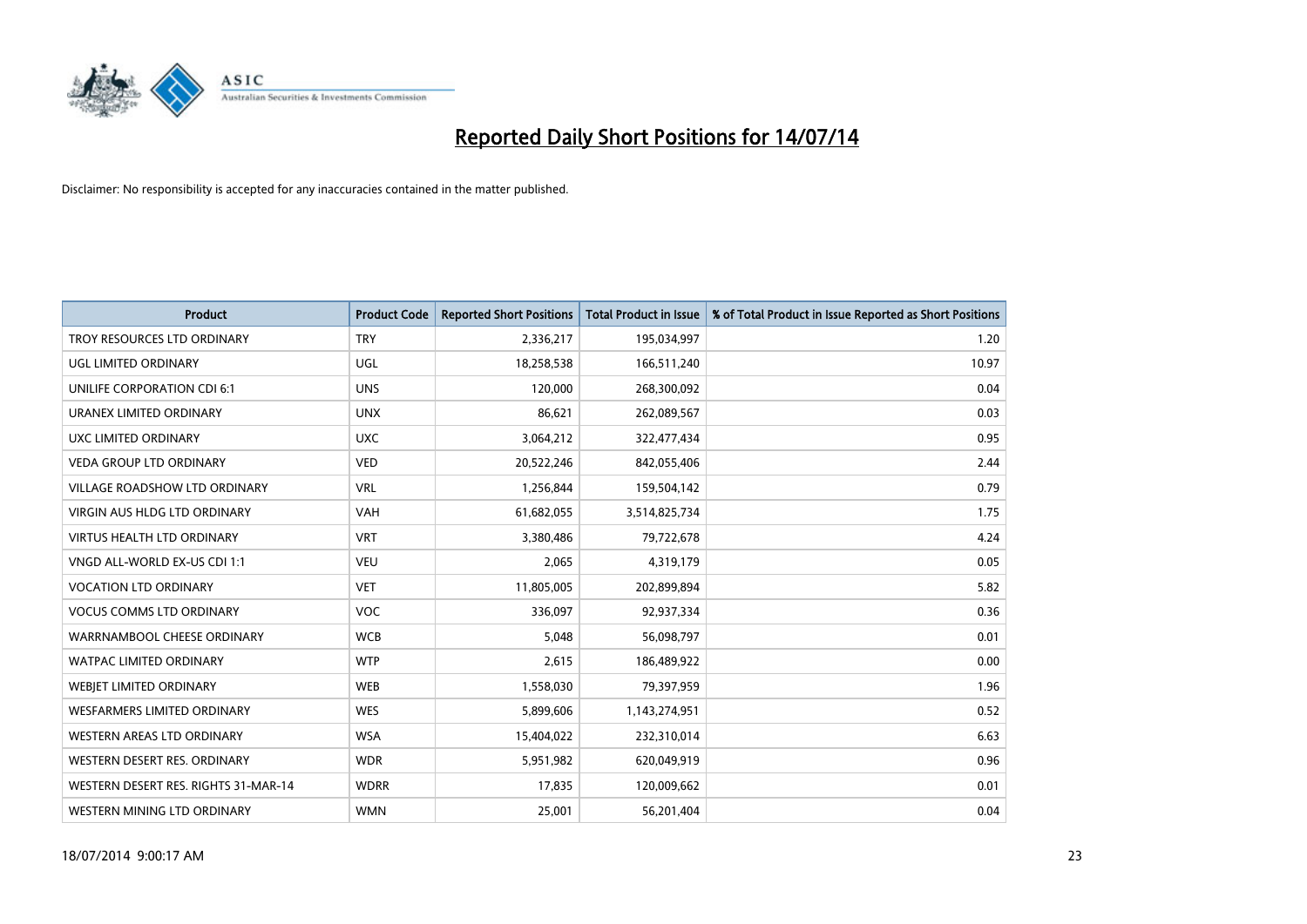

| <b>Product</b>                       | <b>Product Code</b> | <b>Reported Short Positions</b> | <b>Total Product in Issue</b> | % of Total Product in Issue Reported as Short Positions |
|--------------------------------------|---------------------|---------------------------------|-------------------------------|---------------------------------------------------------|
| TROY RESOURCES LTD ORDINARY          | <b>TRY</b>          | 2,336,217                       | 195,034,997                   | 1.20                                                    |
| UGL LIMITED ORDINARY                 | UGL                 | 18,258,538                      | 166,511,240                   | 10.97                                                   |
| UNILIFE CORPORATION CDI 6:1          | <b>UNS</b>          | 120,000                         | 268,300,092                   | 0.04                                                    |
| URANEX LIMITED ORDINARY              | <b>UNX</b>          | 86,621                          | 262,089,567                   | 0.03                                                    |
| <b>UXC LIMITED ORDINARY</b>          | <b>UXC</b>          | 3,064,212                       | 322,477,434                   | 0.95                                                    |
| <b>VEDA GROUP LTD ORDINARY</b>       | <b>VED</b>          | 20,522,246                      | 842,055,406                   | 2.44                                                    |
| <b>VILLAGE ROADSHOW LTD ORDINARY</b> | <b>VRL</b>          | 1,256,844                       | 159,504,142                   | 0.79                                                    |
| <b>VIRGIN AUS HLDG LTD ORDINARY</b>  | <b>VAH</b>          | 61,682,055                      | 3,514,825,734                 | 1.75                                                    |
| <b>VIRTUS HEALTH LTD ORDINARY</b>    | <b>VRT</b>          | 3,380,486                       | 79,722,678                    | 4.24                                                    |
| VNGD ALL-WORLD EX-US CDI 1:1         | <b>VEU</b>          | 2,065                           | 4,319,179                     | 0.05                                                    |
| <b>VOCATION LTD ORDINARY</b>         | <b>VET</b>          | 11,805,005                      | 202,899,894                   | 5.82                                                    |
| <b>VOCUS COMMS LTD ORDINARY</b>      | <b>VOC</b>          | 336,097                         | 92,937,334                    | 0.36                                                    |
| WARRNAMBOOL CHEESE ORDINARY          | <b>WCB</b>          | 5,048                           | 56,098,797                    | 0.01                                                    |
| WATPAC LIMITED ORDINARY              | <b>WTP</b>          | 2,615                           | 186,489,922                   | 0.00                                                    |
| WEBJET LIMITED ORDINARY              | <b>WEB</b>          | 1,558,030                       | 79,397,959                    | 1.96                                                    |
| <b>WESFARMERS LIMITED ORDINARY</b>   | <b>WES</b>          | 5,899,606                       | 1,143,274,951                 | 0.52                                                    |
| WESTERN AREAS LTD ORDINARY           | <b>WSA</b>          | 15,404,022                      | 232,310,014                   | 6.63                                                    |
| WESTERN DESERT RES. ORDINARY         | <b>WDR</b>          | 5,951,982                       | 620,049,919                   | 0.96                                                    |
| WESTERN DESERT RES. RIGHTS 31-MAR-14 | <b>WDRR</b>         | 17,835                          | 120,009,662                   | 0.01                                                    |
| WESTERN MINING LTD ORDINARY          | <b>WMN</b>          | 25,001                          | 56,201,404                    | 0.04                                                    |